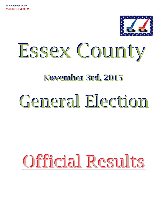



## November 3rd, 2015

# General Election

## Official Results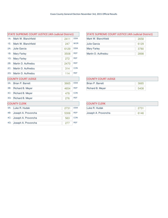| <b>STATE SUPREME COURT JUSTICE (4th Judicial District)</b> |                     |      |            |  |
|------------------------------------------------------------|---------------------|------|------------|--|
| $1A$ :                                                     | Mark W. Blanchfield | 2411 | <b>DEM</b> |  |
| 1E:                                                        | Mark W. Blanchfield | 247  | <b>WOR</b> |  |
| $2A$ :                                                     | Julie Garcia        | 6129 | <b>DEM</b> |  |
| 1B:                                                        | <b>Mary Farley</b>  | 3508 | <b>REP</b> |  |
| 1G:                                                        | <b>Mary Farley</b>  | 272  | <b>REF</b> |  |
| 2B:                                                        | Martin D. Auffredou | 2470 | <b>REP</b> |  |
| $2C$ :                                                     | Martin D. Auffredou | 314  | <b>CON</b> |  |
| $2G$ :                                                     | Martin D. Auffredou | 114  | <b>REF</b> |  |
| <b>COUNTY COURT JUDGE</b>                                  |                     |      |            |  |
| $3A$ :                                                     | Brian P. Barrett    | 3665 | <b>DEM</b> |  |
| 3B:                                                        | Richard B. Meyer    | 4654 | <b>REP</b> |  |
| $3C$ :                                                     | Richard B. Meyer    | 478  | <b>CON</b> |  |
| $3G$ :                                                     | Richard B. Meyer    | 276  | <b>REF</b> |  |
|                                                            | <b>COUNTY CLERK</b> |      |            |  |
| 4A:                                                        | Luke R. Hudak       | 2731 | <b>DEM</b> |  |
| 4B:                                                        | Joseph A. Provoncha | 5306 | <b>REP</b> |  |
| 4C:                                                        | Joseph A. Provoncha | 563  | <b>CON</b> |  |
| 4G:                                                        | Joseph A. Provoncha | 277  | <b>REF</b> |  |

| <b>STATE SUPREME COURT JUSTICE (4th Judicial District)</b> |      |  |  |
|------------------------------------------------------------|------|--|--|
| Mark W. Blanchfield                                        | 2658 |  |  |
| Julie Garcia                                               | 6129 |  |  |
| <b>Mary Farley</b>                                         | 3780 |  |  |
| Martin D. Auffredou                                        | 2898 |  |  |

| <b>COUNTY COURT JUDGE</b> |      |
|---------------------------|------|
| Brian P. Barrett          | 3665 |
| Richard B. Meyer          | 5408 |

| <b>COUNTY CLERK</b> |      |
|---------------------|------|
| Luke R. Hudak       | 2731 |
| Joseph A. Provoncha | 6146 |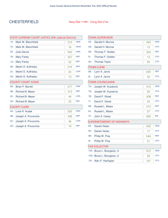#### CHESTERFIELD Assy Dist 114th - Cong Dist 21st

|                           | STATE SUPREME COURT JUSTICE (4th Judicial District) |     |            |  |  |
|---------------------------|-----------------------------------------------------|-----|------------|--|--|
| $1A$ :                    | Mark W. Blanchfield                                 | 210 | <b>DEM</b> |  |  |
| 1E:                       | Mark W. Blanchfield                                 | 16  | <b>WOR</b> |  |  |
| $2A$ :                    | Julie Garcia                                        | 500 | <b>DEM</b> |  |  |
| 1B:                       | <b>Mary Farley</b>                                  | 327 | <b>REP</b> |  |  |
| $1G$ :                    | <b>Mary Farley</b>                                  | 22  | <b>REF</b> |  |  |
| 2B:                       | Martin D. Auffredou                                 | 215 | <b>REP</b> |  |  |
| $2C$ :                    | Martin D. Auffredou                                 | 23  | <b>CON</b> |  |  |
| $2G$ :                    | Martin D. Auffredou                                 | 10  | <b>REF</b> |  |  |
| <b>COUNTY COURT JUDGE</b> |                                                     |     |            |  |  |
| $3A$ :                    | <b>Brian P. Barrett</b>                             | 271 | <b>DEM</b> |  |  |
| 3B:                       | Richard B. Meyer                                    | 413 | <b>REP</b> |  |  |
| $3C$ :                    | Richard B. Meyer                                    | 44  | <b>CON</b> |  |  |
| $3G$ :                    | Richard B. Meyer                                    | 25  | <b>REF</b> |  |  |
|                           | <b>COUNTY CLERK</b>                                 |     |            |  |  |
| 4A:                       | Luke R. Hudak                                       | 205 | <b>DEM</b> |  |  |
| 4B:                       | Joseph A. Provoncha                                 | 436 | <b>REP</b> |  |  |
| 4C:                       | Joseph A. Provoncha                                 | 46  | <b>CON</b> |  |  |
| 4G:                       | Joseph A. Provoncha                                 | 19  | <b>REF</b> |  |  |

|                      | <b>TOWN SUPERVISOR</b>            |     |            |  |  |
|----------------------|-----------------------------------|-----|------------|--|--|
| $5A$ :               | Gerald H. Morrow                  | 433 | <b>DEM</b> |  |  |
| $5G$ :               | Gerald H. Morrow                  | 13  | <b>OTH</b> |  |  |
| 5B:                  | Thomas F. Golden                  | 334 | <b>REP</b> |  |  |
| $5$ :                | Thomas F. Golden                  | 13  | <b>OTH</b> |  |  |
| 5H:                  | <b>Thomas Taylor</b>              | 50  | <b>OTH</b> |  |  |
|                      | <b>TOWN CLERK</b>                 |     |            |  |  |
| 6B:                  | Lynn A. Jarvis                    | 645 | <b>REP</b> |  |  |
| 6!                   | Lynn A. Jarvis                    | 34  | <b>OTH</b> |  |  |
|                      | <b>TOWN COUNCILMAN</b>            |     |            |  |  |
| $7A$ :               | Joseph W. Kusalonis               | 310 | <b>DEM</b> |  |  |
| 7G:                  | Joseph W. Kusalonis               | 26  | <b>OTH</b> |  |  |
| 7B:                  | David P. Gload                    | 438 | <b>REP</b> |  |  |
| 7!                   | David P. Gload                    | 33  | <b>OTH</b> |  |  |
| 8B:                  | Russell L. Blaise                 | 412 | <b>REP</b> |  |  |
| 8J:                  | Russell L. Blaise                 | 27  | <b>OTH</b> |  |  |
| 7F:                  | John S. Casey                     | 260 | <b>IND</b> |  |  |
|                      | <b>SUPERINTENDENT OF HIGHWAYS</b> |     |            |  |  |
| 9A:                  | Darwin Nolan                      | 230 | <b>DEM</b> |  |  |
| 9H:                  | Darwin Nolan                      | 17  | <b>OTH</b> |  |  |
| 9B:                  | Philip W. Pray                    | 549 | <b>REP</b> |  |  |
| $9$ :                | Philip W. Pray                    | 31  | <b>OTH</b> |  |  |
| <b>TAX COLLECTOR</b> |                                   |     |            |  |  |
| 10A:                 | Bruce L. Bourgeois, Jr            | 572 | <b>DEM</b> |  |  |
| $10G$ :              | Bruce L. Bourgeois, Jr            | 59  | <b>OTH</b> |  |  |
| 10J:                 | Alan P. Hachigian                 | 161 | <b>OTH</b> |  |  |
|                      |                                   |     |            |  |  |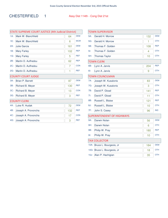### CHESTERFIELD 1 Assy Dist 114th - Cong Dist 21st

| STATE SUPREME COURT JUSTICE (4th Judicial District) |                         |     |            |  |
|-----------------------------------------------------|-------------------------|-----|------------|--|
| $1A$ :                                              | Mark W. Blanchfield     | 64  | <b>DEM</b> |  |
| 1E:                                                 | Mark W. Blanchfield     | 6   | <b>WOR</b> |  |
| $2A$ :                                              | <b>Julie Garcia</b>     | 161 | <b>DEM</b> |  |
| 1B:                                                 | <b>Mary Farley</b>      | 102 | <b>REP</b> |  |
| 1G:                                                 | <b>Mary Farley</b>      | 5   | <b>REF</b> |  |
| 2B:                                                 | Martin D. Auffredou     | 62  | <b>REP</b> |  |
| $2C$ :                                              | Martin D. Auffredou     | 7   | <b>CON</b> |  |
| $2G$ :                                              | Martin D. Auffredou     | 1   | <b>REF</b> |  |
| <b>COUNTY COURT JUDGE</b>                           |                         |     |            |  |
| $3A$ :                                              | <b>Brian P. Barrett</b> | 87  | <b>DEM</b> |  |
| 3B:                                                 | Richard B. Meyer        | 130 | <b>REP</b> |  |
| $3C$ :                                              | Richard B. Meyer        | 13  | <b>CON</b> |  |
| $3G$ :                                              | Richard B. Meyer        | 3   | <b>REF</b> |  |
|                                                     | <b>COUNTY CLERK</b>     |     |            |  |
| 4A:                                                 | Luke R. Hudak           | 72  | <b>DEM</b> |  |
| 4B:                                                 | Joseph A. Provoncha     | 132 | <b>REP</b> |  |
| 4C:                                                 | Joseph A. Provoncha     | 17  | <b>CON</b> |  |
| 4G:                                                 | Joseph A. Provoncha     | 3   | <b>REF</b> |  |

| TOWN SUPERVISOR |                                   |     |            |  |
|-----------------|-----------------------------------|-----|------------|--|
| $5A$ :          | Gerald H. Morrow                  | 132 | <b>DEM</b> |  |
| $5G$ :          | Gerald H. Morrow                  | 1   | <b>OTH</b> |  |
| 5B:             | Thomas F. Golden                  | 108 | <b>REP</b> |  |
| $5$ :           | Thomas F. Golden                  | 4   | <b>OTH</b> |  |
| 5H:             | <b>Thomas Taylor</b>              | 10  | <b>OTH</b> |  |
|                 | <b>TOWN CLERK</b>                 |     |            |  |
| 6B:             | Lynn A. Jarvis                    | 204 | <b>REP</b> |  |
| 6!              | Lynn A. Jarvis                    | 9   | <b>OTH</b> |  |
|                 | <b>TOWN COUNCILMAN</b>            |     |            |  |
| 7A:             | Joseph W. Kusalonis               | 83  | <b>DEM</b> |  |
| 7G:             | Joseph W. Kusalonis               | 3   | <b>OTH</b> |  |
| 7B:             | David P. Gload                    | 141 | <b>REP</b> |  |
| 7!              | David P. Gload                    | 11  | <b>OTH</b> |  |
| 8B:             | Russell L. Blaise                 | 121 | <b>REP</b> |  |
| 8J:             | Russell L. Blaise                 | 10  | <b>OTH</b> |  |
| 7F:             | John S. Casey                     | 96  | <b>IND</b> |  |
|                 | <b>SUPERINTENDENT OF HIGHWAYS</b> |     |            |  |
| 9A:             | Darwin Nolan                      | 56  | <b>DEM</b> |  |
| 9H:             | Darwin Nolan                      | 6   | <b>OTH</b> |  |
| 9B:             | Philip W. Pray                    | 180 | <b>REP</b> |  |
| $9$ :           | Philip W. Pray                    | 10  | <b>OTH</b> |  |
|                 | <b>TAX COLLECTOR</b>              |     |            |  |
| $10A$ :         | Bruce L. Bourgeois, Jr            | 184 | <b>DEM</b> |  |
| $10G$ :         | Bruce L. Bourgeois, Jr            | 18  | <b>OTH</b> |  |
| 10J:            | Alan P. Hachigian                 | 35  | <b>OTH</b> |  |
|                 |                                   |     |            |  |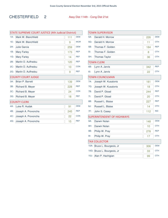### CHESTERFIELD 2 Assy Dist 114th - Cong Dist 21st

| <b>STATE SUPREME COURT JUSTICE (4th Judicial District)</b> |                         |     |            |  |
|------------------------------------------------------------|-------------------------|-----|------------|--|
| $1A$ :                                                     | Mark W. Blanchfield     | 111 | <b>DEM</b> |  |
| 1E:                                                        | Mark W. Blanchfield     | 9   | <b>WOR</b> |  |
| $2A$ :                                                     | <b>Julie Garcia</b>     | 259 | <b>DEM</b> |  |
| 1B:                                                        | <b>Mary Farley</b>      | 173 | <b>REP</b> |  |
| $1G$ :                                                     | <b>Mary Farley</b>      | 14  | <b>REF</b> |  |
| 2B:                                                        | Martin D. Auffredou     | 120 | <b>REP</b> |  |
| $2C$ :                                                     | Martin D. Auffredou     | 10  | <b>CON</b> |  |
| $2G$ :                                                     | Martin D. Auffredou     | 9   | <b>REF</b> |  |
| <b>COUNTY COURT JUDGE</b>                                  |                         |     |            |  |
| $3A$ :                                                     | <b>Brian P. Barrett</b> | 139 | <b>DEM</b> |  |
| 3B:                                                        | Richard B. Meyer        | 228 | <b>REP</b> |  |
| $3C$ :                                                     | Richard B. Meyer        | 24  | <b>CON</b> |  |
| $3G$ :                                                     | Richard B. Meyer        | 18  | <b>REF</b> |  |
|                                                            | <b>COUNTY CLERK</b>     |     |            |  |
| 4A:                                                        | Luke R. Hudak           | 91  | <b>DEM</b> |  |
| 4B:                                                        | Joseph A. Provoncha     | 245 | <b>REP</b> |  |
| $4C$ :                                                     | Joseph A. Provoncha     | 22  | <b>CON</b> |  |
| 4G:                                                        | Joseph A. Provoncha     | 15  | <b>REF</b> |  |

|                      | <b>TOWN SUPERVISOR</b>            |     |            |  |
|----------------------|-----------------------------------|-----|------------|--|
| 5A:                  | Gerald H. Morrow                  | 226 | <b>DEM</b> |  |
| 5G:                  | Gerald H. Morrow                  | 11  | <b>OTH</b> |  |
| 5B:                  | Thomas F. Golden                  | 184 | <b>REP</b> |  |
| $5!$ :               | Thomas F. Golden                  | 8   | <b>OTH</b> |  |
| 5H:                  | <b>Thomas Taylor</b>              | 36  | <b>OTH</b> |  |
|                      | <b>TOWN CLERK</b>                 |     |            |  |
| 6B:                  | Lynn A. Jarvis                    | 342 | <b>REP</b> |  |
| 6!                   | Lynn A. Jarvis                    | 22  | <b>OTH</b> |  |
|                      | <b>TOWN COUNCILMAN</b>            |     |            |  |
| $7A$ :               | Joseph W. Kusalonis               | 181 | <b>DEM</b> |  |
| 7G:                  | Joseph W. Kusalonis               | 18  | <b>OTH</b> |  |
| 7B:                  | David P. Gload                    | 244 | <b>REP</b> |  |
| 7!                   | David P. Gload                    | 20  | <b>OTH</b> |  |
| 8B:                  | Russell L. Blaise                 | 227 | <b>REP</b> |  |
| 8J:                  | Russell L. Blaise                 | 14  | <b>OTH</b> |  |
| 7F:                  | John S. Casey                     | 112 | <b>IND</b> |  |
|                      | <b>SUPERINTENDENT OF HIGHWAYS</b> |     |            |  |
| 9A:                  | Darwin Nolan                      | 148 | <b>DEM</b> |  |
| 9H:                  | Darwin Nolan                      | 10  | <b>OTH</b> |  |
| 9B:                  | Philip W. Pray                    | 278 | <b>REP</b> |  |
| $9$ :                | Philip W. Pray                    | 17  | <b>OTH</b> |  |
| <b>TAX COLLECTOR</b> |                                   |     |            |  |
| $10A$ :              | Bruce L. Bourgeois, Jr            | 306 | <b>DEM</b> |  |
| $10G$ :              | Bruce L. Bourgeois, Jr            | 33  | <b>OTH</b> |  |
| $10J$ :              | Alan P. Hachigian                 | 99  | <b>OTH</b> |  |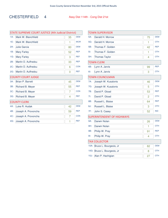### CHESTERFIELD 4 Assy Dist 114th - Cong Dist 21st

| <b>STATE SUPREME COURT JUSTICE (4th Judicial District)</b> |                           |    |            |  |
|------------------------------------------------------------|---------------------------|----|------------|--|
| $1A$ :                                                     | Mark W. Blanchfield       | 35 | <b>DEM</b> |  |
| 1E:                                                        | Mark W. Blanchfield       | 1  | <b>WOR</b> |  |
| $2A$ :                                                     | Julie Garcia              | 80 | <b>DEM</b> |  |
| 1B:                                                        | <b>Mary Farley</b>        | 52 | <b>REP</b> |  |
| $1G$ :                                                     | <b>Mary Farley</b>        | 3  | <b>REF</b> |  |
| 2B:                                                        | Martin D. Auffredou       | 33 | <b>REP</b> |  |
| $2C$ :                                                     | Martin D. Auffredou       | 6  | <b>CON</b> |  |
| $2G$ :                                                     | Martin D. Auffredou       | 0  | <b>REF</b> |  |
|                                                            | <b>COUNTY COURT JUDGE</b> |    |            |  |
| $3A$ :                                                     | <b>Brian P. Barrett</b>   | 45 | <b>DEM</b> |  |
| 3B:                                                        | Richard B. Meyer          | 55 | <b>REP</b> |  |
| $3C$ :                                                     | Richard B. Meyer          | 7  | <b>CON</b> |  |
| $3G$ :                                                     | Richard B. Meyer          | 4  | <b>REF</b> |  |
|                                                            | <b>COUNTY CLERK</b>       |    |            |  |
| 4A:                                                        | Luke R. Hudak             | 42 | <b>DEM</b> |  |
| 4B:                                                        | Joseph A. Provoncha       | 59 | <b>REP</b> |  |
| $4C$ :                                                     | Joseph A. Provoncha       | 7  | <b>CON</b> |  |
| 4G:                                                        | Joseph A. Provoncha       | 1  | <b>REF</b> |  |

| TOWN SUPERVISOR      |                                   |                |            |  |
|----------------------|-----------------------------------|----------------|------------|--|
| $5A$ :               | Gerald H. Morrow                  | 75             | <b>DEM</b> |  |
| 5G:                  | Gerald H. Morrow                  | 1              | <b>OTH</b> |  |
| 5B:                  | Thomas F. Golden                  | 42             | <b>REP</b> |  |
| 5l:                  | Thomas F. Golden                  | 1              | <b>OTH</b> |  |
| 5H:                  | <b>Thomas Taylor</b>              | 4              | <b>OTH</b> |  |
|                      | <b>TOWN CLERK</b>                 |                |            |  |
| 6B:                  | Lynn A. Jarvis                    | 99             | <b>REP</b> |  |
| 6!                   | Lynn A. Jarvis                    | 3              | <b>OTH</b> |  |
|                      | <b>TOWN COUNCILMAN</b>            |                |            |  |
| 7A:                  | Joseph W. Kusalonis               | 46             | <b>DEM</b> |  |
| 7G:                  | Joseph W. Kusalonis               | 5              | <b>OTH</b> |  |
| 7B:                  | David P. Gload                    | 53             | <b>REP</b> |  |
| 7!                   | David P. Gload                    | $\overline{2}$ | <b>OTH</b> |  |
| 8B:                  | Russell L. Blaise                 | 64             | <b>REP</b> |  |
| 8J:                  | Russell L. Blaise                 | 3              | <b>OTH</b> |  |
| 7F:                  | John S. Casey                     | 52             | <b>IND</b> |  |
|                      | <b>SUPERINTENDENT OF HIGHWAYS</b> |                |            |  |
| 9A:                  | Darwin Nolan                      | 26             | <b>DEM</b> |  |
| 9H:                  | Darwin Nolan                      | 1              | <b>OTH</b> |  |
| 9B:                  | Philip W. Pray                    | 91             | <b>REP</b> |  |
| $9$ :                | Philip W. Pray                    | 4              | <b>OTH</b> |  |
| <b>TAX COLLECTOR</b> |                                   |                |            |  |
| $10A$ :              | Bruce L. Bourgeois, Jr            | 82             | <b>DEM</b> |  |
| $10G$ :              | Bruce L. Bourgeois, Jr            | 8              | <b>OTH</b> |  |
| 10J:                 | Alan P. Hachigian                 | 27             | <b>OTH</b> |  |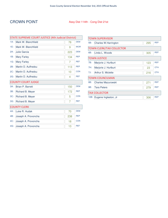#### CROWN POINT Assy Dist 114th - Cong Dist 21st

| <b>STATE SUPREME COURT JUSTICE (4th Judicial District)</b> |                         |     |            |  |  |
|------------------------------------------------------------|-------------------------|-----|------------|--|--|
| $1A$ :                                                     | Mark W. Blanchfield     | 78  | <b>DEM</b> |  |  |
| $1E$ :                                                     | Mark W. Blanchfield     | 9   | <b>WOR</b> |  |  |
| $2A$ :                                                     | <b>Julie Garcia</b>     | 223 | <b>DEM</b> |  |  |
| 1B:                                                        | <b>Mary Farley</b>      | 134 | <b>REP</b> |  |  |
| $1G$ :                                                     | <b>Mary Farley</b>      | 7   | <b>REF</b> |  |  |
| 2B:                                                        | Martin D. Auffredou     | 113 | <b>REP</b> |  |  |
| $2C$ :                                                     | Martin D. Auffredou     | 10  | <b>CON</b> |  |  |
| $2G$ :                                                     | Martin D. Auffredou     | 4   | <b>REF</b> |  |  |
| <b>COUNTY COURT JUDGE</b>                                  |                         |     |            |  |  |
| $3A$ :                                                     | <b>Brian P. Barrett</b> | 150 | <b>DEM</b> |  |  |
| 3B:                                                        | Richard B. Meyer        | 172 | <b>REP</b> |  |  |
| $3C$ :                                                     | Richard B. Meyer        | 5   | <b>CON</b> |  |  |
| $3G$ :                                                     | Richard B. Meyer        | 7   | <b>REF</b> |  |  |
|                                                            | <b>COUNTY CLERK</b>     |     |            |  |  |
| 4A:                                                        | Luke R. Hudak           | 70  | <b>DEM</b> |  |  |
| 4B:                                                        | Joseph A. Provoncha     | 238 | <b>REP</b> |  |  |
| $4C$ :                                                     | Joseph A. Provoncha     | 18  | <b>CON</b> |  |  |
| 4G:                                                        | Joseph A. Provoncha     | 13  | <b>REF</b> |  |  |

|     | <b>TOWN SUPERVISOR</b>          |     |            |
|-----|---------------------------------|-----|------------|
| 5B: | Charles W. Harrington           | 295 | <b>REP</b> |
|     | <b>TOWN CLERK/TAX COLLECTOR</b> |     |            |
| 6B: | Linda L. Woods                  | 305 | <b>RFP</b> |
|     | <b>TOWN JUSTICE</b>             |     |            |
| 7B: | Marjorie J. Hurlburt            | 123 | <b>REP</b> |
| 7H: | Marjorie J. Hurlburt            | 23  | <b>OTH</b> |
| 7J: | Arthur S. Miclette              | 216 | <b>OTH</b> |
|     | <b>TOWN COUNCILMAN</b>          |     |            |
| 8B: | Charles Mazurowski              | 271 | <b>RFP</b> |
| 9B: | <b>Tara Peters</b>              | 279 | <b>REP</b> |
|     | <b>TAX COLLECTOR</b>            |     |            |
|     | 10B: Eugene Ingleston, Jr       | 306 | <b>REP</b> |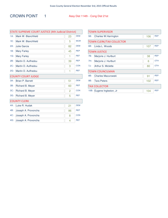### CROWN POINT 1 Assy Dist 114th - Cong Dist 21st

|        | <b>STATE SUPREME COURT JUSTICE (4th Judicial District)</b> |    |            |
|--------|------------------------------------------------------------|----|------------|
| $1A$ : | Mark W. Blanchfield                                        | 23 | <b>DEM</b> |
| 1E:    | Mark W. Blanchfield                                        | 5  | <b>WOR</b> |
| $2A$ : | <b>Julie Garcia</b>                                        | 82 | <b>DEM</b> |
| 1B:    | <b>Mary Farley</b>                                         | 45 | <b>REP</b> |
| $1G$ : | <b>Mary Farley</b>                                         | 1  | <b>REF</b> |
| 2B:    | Martin D. Auffredou                                        | 39 | <b>REP</b> |
| $2C$ : | Martin D. Auffredou                                        | 3  | <b>CON</b> |
| $2G$ : | Martin D. Auffredou                                        | 1  | <b>REF</b> |
|        | <b>COUNTY COURT JUDGE</b>                                  |    |            |
| $3A$ : | <b>Brian P. Barrett</b>                                    | 51 | <b>DEM</b> |
| 3B:    | Richard B. Meyer                                           | 60 | <b>REP</b> |
| $3C$ : | Richard B. Meyer                                           | 2  | <b>CON</b> |
| $3G$ : | Richard B. Meyer                                           | 5  | <b>REF</b> |
|        | <b>COUNTY CLERK</b>                                        |    |            |
| 4A:    | Luke R. Hudak                                              | 21 | <b>DEM</b> |
| 4B:    | Joseph A. Provoncha                                        | 86 | <b>REP</b> |
| $4C$ : | Joseph A. Provoncha                                        | 8  | <b>CON</b> |
| 4G:    | Joseph A. Provoncha                                        | 4  | <b>REF</b> |

|      | <b>TOWN SUPERVISOR</b>          |     |            |
|------|---------------------------------|-----|------------|
| 5B:  | Charles W. Harrington           | 106 | <b>REP</b> |
|      | <b>TOWN CLERK/TAX COLLECTOR</b> |     |            |
| 6B:  | Linda L. Woods                  | 107 | <b>REP</b> |
|      | <b>TOWN JUSTICE</b>             |     |            |
| 7B:  | Marjorie J. Hurlburt            | 38  | <b>RFP</b> |
| 7H:  | Marjorie J. Hurlburt            | 6   | <b>OTH</b> |
| 7J:  | Arthur S. Miclette              | 80  | <b>OTH</b> |
|      | <b>TOWN COUNCILMAN</b>          |     |            |
| 8B:  | Charles Mazurowski              | 91  | <b>REP</b> |
| 9B:  | <b>Tara Peters</b>              | 102 | <b>REP</b> |
|      | <b>TAX COLLECTOR</b>            |     |            |
| 10B: | Eugene Ingleston, Jr            | 104 | <b>REP</b> |
|      |                                 |     |            |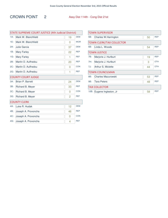### CROWN POINT 2 Assy Dist 114th - Cong Dist 21st

| <b>STATE SUPREME COURT JUSTICE (4th Judicial District)</b> |                           |    |            |  |
|------------------------------------------------------------|---------------------------|----|------------|--|
| $1A$ :                                                     | Mark W. Blanchfield       | 19 | <b>DEM</b> |  |
| 1E:                                                        | Mark W. Blanchfield       | 0  | <b>WOR</b> |  |
| $2A$ :                                                     | <b>Julie Garcia</b>       | 37 | <b>DEM</b> |  |
| 1B:                                                        | <b>Mary Farley</b>        | 22 | <b>REP</b> |  |
| $1G$ :                                                     | <b>Mary Farley</b>        | 1  | <b>REF</b> |  |
| 2B:                                                        | Martin D. Auffredou       | 20 | <b>REP</b> |  |
| $2C$ :                                                     | Martin D. Auffredou       | 0  | <b>CON</b> |  |
| $2G$ :                                                     | Martin D. Auffredou       | 1  | <b>REF</b> |  |
|                                                            | <b>COUNTY COURT JUDGE</b> |    |            |  |
| $3A$ :                                                     | <b>Brian P. Barrett</b>   | 24 | <b>DEM</b> |  |
| 3B:                                                        | Richard B. Meyer          | 33 | <b>REP</b> |  |
| $3C$ :                                                     | Richard B. Meyer          | 0  | <b>CON</b> |  |
| $3G$ :                                                     | Richard B. Meyer          | 2  | <b>REF</b> |  |
|                                                            | <b>COUNTY CLERK</b>       |    |            |  |
| 4A:                                                        | Luke R. Hudak             | 12 | <b>DEM</b> |  |
| 4B:                                                        | Joseph A. Provoncha       | 46 | <b>REP</b> |  |
| $4C$ :                                                     | Joseph A. Provoncha       | O  | <b>CON</b> |  |
| 4G:                                                        | Joseph A. Provoncha       | 4  | <b>REF</b> |  |

|      | TOWN SUPERVISOR                 |    |            |
|------|---------------------------------|----|------------|
| 5B:  | Charles W. Harrington           | 50 | <b>RFP</b> |
|      | <b>TOWN CLERK/TAX COLLECTOR</b> |    |            |
| 6B:  | Linda L. Woods                  | 54 | <b>REP</b> |
|      | <b>TOWN JUSTICE</b>             |    |            |
| 7B:  | Marjorie J. Hurlburt            | 19 | <b>RFP</b> |
| 7H:  | Marjorie J. Hurlburt            | 3  | <b>OTH</b> |
| 7J:  | Arthur S. Miclette              | 44 | <b>OTH</b> |
|      | <b>TOWN COUNCILMAN</b>          |    |            |
| 8B:  | <b>Charles Mazurowski</b>       | 53 | <b>REP</b> |
| 9B:  | <b>Tara Peters</b>              | 48 | <b>REP</b> |
|      | <b>TAX COLLECTOR</b>            |    |            |
| 10B: | Eugene Ingleston, Jr            | 58 | <b>REP</b> |
|      |                                 |    |            |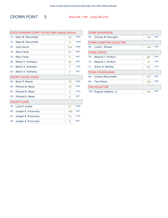### CROWN POINT 3 Assy Dist 114th - Cong Dist 21st

|        | STATE SUPREME COURT JUSTICE (4th Judicial District) |                |            |
|--------|-----------------------------------------------------|----------------|------------|
| $1A$ : | Mark W. Blanchfield                                 | 36             | <b>DEM</b> |
| $1E$ : | Mark W. Blanchfield                                 | 4              | <b>WOR</b> |
| $2A$ : | Julie Garcia                                        | 104            | <b>DEM</b> |
| 1B:    | <b>Mary Farley</b>                                  | 67             | <b>REP</b> |
| $1G$ : | <b>Mary Farley</b>                                  | 5              | <b>REF</b> |
| 2B:    | Martin D. Auffredou                                 | 54             | <b>REP</b> |
| $2C$ : | Martin D. Auffredou                                 | 7              | <b>CON</b> |
| $2G$ : | Martin D. Auffredou                                 | $\overline{2}$ | <b>REF</b> |
|        | <b>COUNTY COURT JUDGE</b>                           |                |            |
| $3A$ : | <b>Brian P. Barrett</b>                             | 75             | <b>DEM</b> |
| 3B:    | Richard B. Meyer                                    | 79             | <b>REP</b> |
| $3C$ : | Richard B. Meyer                                    | 3              | <b>CON</b> |
| $3G$ : | Richard B. Meyer                                    | 0              | <b>REF</b> |
|        | <b>COUNTY CLERK</b>                                 |                |            |
| 4A:    | Luke R. Hudak                                       | 37             | <b>DEM</b> |
| 4B:    | Joseph A. Provoncha                                 | 106            | <b>REP</b> |
| 4C:    | Joseph A. Provoncha                                 | 10             | <b>CON</b> |
| 4G:    | Joseph A. Provoncha                                 | 5              | <b>REF</b> |

|      | <b>TOWN SUPERVISOR</b>                     |     |            |  |  |  |  |
|------|--------------------------------------------|-----|------------|--|--|--|--|
| 5B:  | <b>REP</b><br>Charles W. Harrington<br>139 |     |            |  |  |  |  |
|      | <b>TOWN CLERK/TAX COLLECTOR</b>            |     |            |  |  |  |  |
| 6B:  | Linda L. Woods                             | 144 | <b>REP</b> |  |  |  |  |
|      | <b>TOWN JUSTICE</b>                        |     |            |  |  |  |  |
| 7B:  | Marjorie J. Hurlburt                       | 66  | <b>REP</b> |  |  |  |  |
| 7H:  | Marjorie J. Hurlburt                       | 14  | OTH        |  |  |  |  |
| 7J:  | Arthur S. Miclette                         | 92  | <b>OTH</b> |  |  |  |  |
|      | <b>TOWN COUNCILMAN</b>                     |     |            |  |  |  |  |
| 8B:  | <b>Charles Mazurowski</b>                  | 127 | <b>RFP</b> |  |  |  |  |
| 9B:  | <b>Tara Peters</b>                         | 129 | <b>REP</b> |  |  |  |  |
|      | <b>TAX COLLECTOR</b>                       |     |            |  |  |  |  |
| 10B: | Eugene Ingleston, Jr                       | 144 | <b>RFP</b> |  |  |  |  |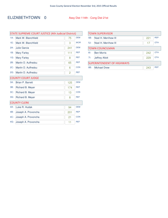### ELIZABETHTOWN 0 Assy Dist 114th - Cong Dist 21st

|        | STATE SUPREME COURT JUSTICE (4th Judicial District) |     |            |
|--------|-----------------------------------------------------|-----|------------|
| $1A$ : | Mark W. Blanchfield                                 | 75  | <b>DEM</b> |
| 1E:    | Mark W. Blanchfield                                 | 3   | <b>WOR</b> |
| $2A$ : | Julie Garcia                                        | 241 | <b>DEM</b> |
| 1B:    | <b>Mary Farley</b>                                  | 111 | <b>REP</b> |
| 1G:    | <b>Mary Farley</b>                                  | 8   | <b>REF</b> |
| 2B:    | Martin D. Auffredou                                 | 65  | <b>REP</b> |
| $2C$ : | Martin D. Auffredou                                 | 6   | <b>CON</b> |
| $2G$ : | Martin D. Auffredou                                 | 2   | <b>REF</b> |
|        | <b>COUNTY COURT JUDGE</b>                           |     |            |
| $3A$ : | <b>Brian P. Barrett</b>                             | 125 | <b>DEM</b> |
| 3B:    | Richard B. Meyer                                    | 174 | <b>REP</b> |
| $3C$ : | Richard B. Meyer                                    | 13  | <b>CON</b> |
| $3G$ : | Richard B. Meyer                                    | 8   | <b>REF</b> |
|        | <b>COUNTY CLERK</b>                                 |     |            |
| 4A:    | Luke R. Hudak                                       | 94  | <b>DEM</b> |
| 4B:    | Joseph A. Provoncha                                 | 201 | <b>REP</b> |
| 4C:    | Joseph A. Provoncha                                 | 21  | <b>CON</b> |
| 4G:    | Joseph A. Provoncha                                 | 11  | <b>REF</b> |

| <b>TOWN SUPERVISOR</b>            |                       |     |            |  |
|-----------------------------------|-----------------------|-----|------------|--|
| 5B:                               | Noel H. Merrihew III  | 221 | <b>REP</b> |  |
| 5J:                               | Noel H. Merrihew III  | 17  | <b>OTH</b> |  |
| <b>TOWN COUNCILMAN</b>            |                       |     |            |  |
| 6!                                | <b>Ben Morris</b>     | 242 | <b>OTH</b> |  |
| 7!                                | <b>Jeffrey Allott</b> | 229 | OTH        |  |
| <b>SUPERINTENDENT OF HIGHWAYS</b> |                       |     |            |  |
| 8B:                               | <b>Michael Drew</b>   | 243 | <b>RFP</b> |  |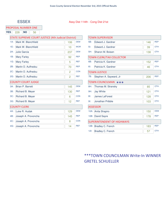#### ESSEX Assy Dist 114th - Cong Dist 21st

|  | PROPOSAL NUMBER ONE |
|--|---------------------|
|--|---------------------|

| <b>YES</b> | 228 | <b>NO</b> |                         |                                                            |     |  |
|------------|-----|-----------|-------------------------|------------------------------------------------------------|-----|--|
|            |     |           |                         | <b>STATE SUPREME COURT JUSTICE (4th Judicial District)</b> |     |  |
|            |     |           | 1A: Mark W. Blanchfield |                                                            | 106 |  |
|            |     |           | 1E: Mark W. Blanchfield |                                                            |     |  |

| $1A$ : | Mark W. Blanchfield       | 106            | <b>DEM</b> |  |  |
|--------|---------------------------|----------------|------------|--|--|
| 1E:    | Mark W. Blanchfield       | 10             | <b>WOR</b> |  |  |
| $2A$ : | Julie Garcia              | 237            | <b>DEM</b> |  |  |
| 1B:    | <b>Mary Farley</b>        | 92             | <b>REP</b> |  |  |
| $1G$ : | <b>Mary Farley</b>        | 5              | <b>REF</b> |  |  |
| 2B:    | Martin D. Auffredou       | 70             | <b>REP</b> |  |  |
| 2C:    | Martin D. Auffredou       | $\overline{2}$ | <b>CON</b> |  |  |
| $2G$ : | Martin D. Auffredou       | $\overline{2}$ | <b>REF</b> |  |  |
|        | <b>COUNTY COURT JUDGE</b> |                |            |  |  |
| $3A$ : | Brian P. Barrett          | 145            | <b>DEM</b> |  |  |
| 3B:    | Richard B. Meyer          | 130            | <b>REP</b> |  |  |
| $3C$ : | Richard B. Meyer          | 6              | <b>CON</b> |  |  |
| $3G$ : | Richard B. Meyer          | 12             | <b>REF</b> |  |  |
|        | <b>COUNTY CLERK</b>       |                |            |  |  |
| 4A:    | Luke R. Hudak             | 129            | <b>DEM</b> |  |  |
| 4B:    | Joseph A. Provoncha       | 145            | <b>REP</b> |  |  |
| 4C:    | Joseph A. Provoncha       | 8              | <b>CON</b> |  |  |
| 4G:    | Joseph A. Provoncha       | 14             | <b>REF</b> |  |  |

| <b>TOWN SUPERVISOR</b>            |                                 |     |            |
|-----------------------------------|---------------------------------|-----|------------|
| 5B:                               | Edward J. Gardner               | 146 | <b>REP</b> |
| 51:                               | Edward J. Gardner               | 39  | <b>OTH</b> |
| 5H:                               | Sharon M. Boisen                | 138 | <b>OTH</b> |
|                                   | <b>TOWN CLERK/TAX COLLECTOR</b> |     |            |
| 6B:                               | Patricia K. Gardner             | 152 | <b>REP</b> |
| 6!                                | Patricia K. Gardner             | 46  | <b>OTH</b> |
|                                   | <b>TOWN JUSTICE</b>             |     |            |
| 7B:                               | Stephen A. Sayward, Jr          | 206 | <b>REP</b> |
|                                   | TOWN COUNCILMAN ***             |     |            |
| 8H:                               | Thomas M. Stransky              | 85  | <b>OTH</b> |
| 9H:                               | <b>Jay White</b>                | 121 | <b>OTH</b> |
| $8$ :                             | <b>James LaForest</b>           | 128 | <b>OTH</b> |
| 9!                                | Jonathan Pribble                | 103 | <b>OTH</b> |
|                                   | <b>ASSESSOR</b>                 |     |            |
| $10A$ :                           | Anita Shapiro                   | 150 | <b>DEM</b> |
| $10B$ :                           | David Sayre                     | 178 | <b>REP</b> |
| <b>SUPERINTENDENT OF HIGHWAYS</b> |                                 |     |            |
| $12B$ :                           | Bradley C. French               | 183 | <b>REP</b> |
| $12$ :                            | Bradley C. French               | 57  | <b>OTH</b> |

### \*\*\*TOWN COUNCILMAN Write-In WINNER GRETEL SCHUELLER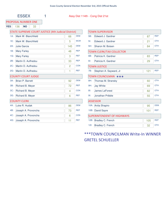#### ESSEX 1 Assy Dist 114th - Cong Dist 21st

#### PROPOSAL NUMBER ONE

**YES** 136 **NO** 33

#### STATE SUPREME COURT JUSTICE (4th Judicial District)

| $1A$ :              | Mark W. Blanchfield       | 66  | <b>DEM</b> |  |
|---------------------|---------------------------|-----|------------|--|
| 1E:                 | Mark W. Blanchfield       | 5   | <b>WOR</b> |  |
| $2A$ :              | Julie Garcia              | 145 | <b>DEM</b> |  |
| 1B:                 | <b>Mary Farley</b>        | 48  | <b>REP</b> |  |
| 1G:                 | <b>Mary Farley</b>        | 3   | <b>REF</b> |  |
| 2B:                 | Martin D. Auffredou       | 33  | <b>REP</b> |  |
| $2C$ :              | Martin D. Auffredou       | 2   | <b>CON</b> |  |
| $2G$ :              | Martin D. Auffredou       | 1   | <b>REF</b> |  |
|                     | <b>COUNTY COURT JUDGE</b> |     |            |  |
| $3A$ :              | Brian P. Barrett          | 92  | <b>DEM</b> |  |
| 3B:                 | Richard B. Meyer          | 72  | <b>REP</b> |  |
| $3C$ :              | Richard B. Meyer          | 4   | <b>CON</b> |  |
| $3G$ :              | Richard B. Meyer          | 6   | <b>REF</b> |  |
| <b>COUNTY CLERK</b> |                           |     |            |  |
| 4A:                 | Luke R. Hudak             | 86  | <b>DEM</b> |  |
| 4B:                 | Joseph A. Provoncha       | 73  | <b>REP</b> |  |
| 4C:                 | Joseph A. Provoncha       | 6   | <b>CON</b> |  |
| 4G:                 | Joseph A. Provoncha       | 11  | <b>REF</b> |  |

| <b>TOWN SUPERVISOR</b>            |                                 |     |            |
|-----------------------------------|---------------------------------|-----|------------|
| 5B:                               | Edward J. Gardner               | 87  | <b>REP</b> |
| $51$ :                            | Edward J. Gardner               | 21  | <b>OTH</b> |
| 5H:                               | Sharon M. Boisen                | 84  | <b>OTH</b> |
|                                   | <b>TOWN CLERK/TAX COLLECTOR</b> |     |            |
| 6B:                               | Patricia K. Gardner             | 83  | <b>REP</b> |
| $6!$ :                            | Patricia K. Gardner             | 29  | <b>OTH</b> |
|                                   | <b>TOWN JUSTICE</b>             |     |            |
| 7B:                               | Stephen A. Sayward, Jr          | 121 | <b>REP</b> |
|                                   | TOWN COUNCILMAN ***             |     |            |
| 8H:                               | Thomas M. Stransky              | 60  | <b>OTH</b> |
| 9H:                               | <b>Jay White</b>                | 69  | <b>OTH</b> |
| $8$ :                             | James LaForest                  | 82  | <b>OTH</b> |
| $9$ :                             | Jonathan Pribble                | 55  | <b>OTH</b> |
|                                   | <b>ASSESSOR</b>                 |     |            |
| $10A$ :                           | Anita Shapiro                   | 95  | <b>DEM</b> |
| 10B:                              | David Sayre                     | 101 | <b>REP</b> |
| <b>SUPERINTENDENT OF HIGHWAYS</b> |                                 |     |            |
| $12B$ :                           | Bradley C. French               | 105 | <b>REP</b> |
| $12$ :                            | <b>Bradley C. French</b>        | 32  | <b>OTH</b> |

### \*\*\*TOWN COUNCILMAN Write-In WINNER GRETEL SCHUELLER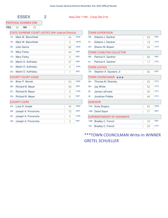#### ESSEX 2 Assy Dist 114th - Cong Dist 21st

PROPOSAL NUMBER ONE

**YES** 92 **NO** 23

#### STATE SUPREME COURT JUSTICE (4th Judicial District)

| $1A$ :              | Mark W. Blanchfield       | 40 | <b>DEM</b> |  |
|---------------------|---------------------------|----|------------|--|
| 1E:                 | Mark W. Blanchfield       | 5  | <b>WOR</b> |  |
| $2A$ :              | Julie Garcia              | 92 | <b>DEM</b> |  |
| 1B:                 | <b>Mary Farley</b>        | 44 | <b>REP</b> |  |
| 1G:                 | <b>Mary Farley</b>        | 2  | <b>REF</b> |  |
| 2B:                 | Martin D. Auffredou       | 37 | <b>REP</b> |  |
| $2C$ :              | Martin D. Auffredou       | 0  | <b>CON</b> |  |
| $2G$ :              | Martin D. Auffredou       | 1  | <b>REF</b> |  |
|                     | <b>COUNTY COURT JUDGE</b> |    |            |  |
| $3A$ :              | <b>Brian P. Barrett</b>   | 53 | <b>DEM</b> |  |
| 3B:                 | Richard B. Meyer          | 58 | <b>REP</b> |  |
| $3C$ :              | Richard B. Meyer          | 2  | <b>CON</b> |  |
| $3G$ :              | Richard B. Meyer          | 6  | <b>REF</b> |  |
| <b>COUNTY CLERK</b> |                           |    |            |  |
| 4A:                 | Luke R. Hudak             | 43 | <b>DEM</b> |  |
| 4B:                 | Joseph A. Provoncha       | 72 | <b>REP</b> |  |
| 4C:                 | Joseph A. Provoncha       | 2  | <b>CON</b> |  |
| 4G:                 | Joseph A. Provoncha       | 3  | <b>REF</b> |  |

| <b>TOWN SUPERVISOR</b>            |                                 |    |            |  |
|-----------------------------------|---------------------------------|----|------------|--|
| 5B:                               | Edward J. Gardner               | 59 | <b>REP</b> |  |
| $5$ :                             | Edward J. Gardner               | 18 | <b>OTH</b> |  |
| 5H:                               | Sharon M. Boisen                | 54 | <b>OTH</b> |  |
|                                   | <b>TOWN CLERK/TAX COLLECTOR</b> |    |            |  |
| 6B:                               | Patricia K. Gardner             | 69 | <b>REP</b> |  |
| 6!                                | Patricia K. Gardner             | 17 | <b>OTH</b> |  |
|                                   | <b>TOWN JUSTICE</b>             |    |            |  |
| 7B:                               | Stephen A. Sayward, Jr          | 85 | <b>REP</b> |  |
|                                   | TOWN COUNCILMAN ***             |    |            |  |
| 8H:                               | Thomas M. Stransky              | 25 | <b>OTH</b> |  |
| 9H:                               | <b>Jay White</b>                | 52 | <b>OTH</b> |  |
| $8$ :                             | <b>James LaForest</b>           | 46 | <b>OTH</b> |  |
| $9$ :                             | Jonathan Pribble                | 48 | <b>OTH</b> |  |
|                                   | <b>ASSESSOR</b>                 |    |            |  |
| 10A:                              | Anita Shapiro                   | 55 | <b>DEM</b> |  |
| 10B:                              | <b>David Sayre</b>              | 77 | <b>REP</b> |  |
| <b>SUPERINTENDENT OF HIGHWAYS</b> |                                 |    |            |  |
| 12B:                              | Bradley C. French               | 78 | <b>REP</b> |  |
| $12$ :                            | <b>Bradley C. French</b>        | 25 | <b>OTH</b> |  |

### \*\*\*TOWN COUNCILMAN Write-In WINNER GRETEL SCHUELLER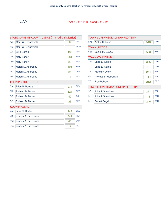

#### JAY Assy Dist 114th - Cong Dist 21st

| <b>STATE SUPREME COURT JUSTICE (4th Judicial District)</b> |                           |     |            |  |
|------------------------------------------------------------|---------------------------|-----|------------|--|
| $1A$ :                                                     | Mark W. Blanchfield       | 209 | <b>DEM</b> |  |
| $1E$ :                                                     | Mark W. Blanchfield       | 16  | <b>WOR</b> |  |
| $2A$ :                                                     | Julie Garcia              | 433 | <b>DEM</b> |  |
| 1B:                                                        | <b>Mary Farley</b>        | 281 | <b>REP</b> |  |
| $1G$ :                                                     | <b>Mary Farley</b>        | 23  | <b>REF</b> |  |
| 2B:                                                        | Martin D. Auffredou       | 191 | <b>REP</b> |  |
| $2C$ :                                                     | Martin D. Auffredou       | 25  | <b>CON</b> |  |
| $2G$ :                                                     | Martin D. Auffredou       | 11  | <b>REF</b> |  |
|                                                            | <b>COUNTY COURT JUDGE</b> |     |            |  |
| $3A$ :                                                     | <b>Brian P. Barrett</b>   | 274 | <b>DEM</b> |  |
| 3B:                                                        | Richard B. Meyer          | 324 | <b>REP</b> |  |
| $3C$ :                                                     | Richard B. Meyer          | 42  | <b>CON</b> |  |
| $3G$ :                                                     | Richard B. Meyer          | 23  | <b>REF</b> |  |
| <b>COUNTY CLERK</b>                                        |                           |     |            |  |
| 4A:                                                        | Luke R. Hudak             | 247 | <b>DEM</b> |  |
| 4B:                                                        | Joseph A. Provoncha       | 349 | <b>REP</b> |  |
| $4C$ :                                                     | Joseph A. Provoncha       | 48  | <b>CON</b> |  |
| 4G:                                                        | Joseph A. Provoncha       | 12  | <b>REF</b> |  |

#### TOWN SUPERVISOR (UNEXPIRED TERM) 5A: Archie R. Depo 543 DEM TOWN JUSTICE 6B: Daniel M. Deyoe 536 REP TOWN COUNCILMAN 7A: Chad E. Garcia 336 71: Chad E. Garcia 22 DEM OTH 7B: Harold F. Akey 254 REP 8B: Thomas L. McDonald 414 7D: Fred Balzac 212 REP GRE TOWN COUNCILMAN (UNEXPIRED TERM) 9B: John J. Sheldrake 371 91: John J. Sheldrake 16 REP OTH 9H: Robert Segall 246 OTH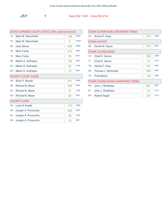| STATE SUPREME COURT JUSTICE (4th Judicial District) |                           |     |            |
|-----------------------------------------------------|---------------------------|-----|------------|
| $1A$ :                                              | Mark W. Blanchfield       | 148 | <b>DEM</b> |
| 1E:                                                 | Mark W. Blanchfield       | 8   | <b>WOR</b> |
| $2A$ :                                              | <b>Julie Garcia</b>       | 293 | <b>DEM</b> |
| 1B:                                                 | <b>Mary Farley</b>        | 213 | <b>REP</b> |
| 1G:                                                 | <b>Mary Farley</b>        | 20  | <b>REF</b> |
| 2B:                                                 | Martin D. Auffredou       | 142 | <b>REP</b> |
| $2C$ :                                              | Martin D. Auffredou       | 22  | <b>CON</b> |
| $2G$ :                                              | Martin D. Auffredou       | 10  | <b>REF</b> |
|                                                     | <b>COUNTY COURT JUDGE</b> |     |            |
| $3A$ :                                              | <b>Brian P. Barrett</b>   | 201 | <b>DEM</b> |
| 3B:                                                 | Richard B. Meyer          | 223 | <b>REP</b> |
| $3C$ :                                              | Richard B. Meyer          | 31  | <b>CON</b> |
| $3G$ :                                              | Richard B. Meyer          | 20  | <b>REF</b> |
|                                                     | <b>COUNTY CLERK</b>       |     |            |
| $4A$ :                                              | Luke R. Hudak             | 173 | <b>DEM</b> |
| 4B:                                                 | Joseph A. Provoncha       | 254 | <b>REP</b> |
| 4C:                                                 | Joseph A. Provoncha       | 36  | <b>CON</b> |
| 4G:                                                 | Joseph A. Provoncha       | 10  | <b>REF</b> |

| TOWN SUPERVISOR (UNEXPIRED TERM) |                                  |                   |            |  |
|----------------------------------|----------------------------------|-------------------|------------|--|
| $5A$ :                           | Archie R. Depo                   | 374               | <b>DEM</b> |  |
|                                  | <b>TOWN JUSTICE</b>              |                   |            |  |
| 6B:                              | Daniel M. Deyoe                  | 374               | <b>REP</b> |  |
|                                  | <b>TOWN COUNCILMAN</b>           |                   |            |  |
| $7A$ :                           | Chad E. Garcia                   | 209               | <b>DEM</b> |  |
| 7!                               | Chad E. Garcia                   | $12 \overline{ }$ | <b>OTH</b> |  |
| 7B:                              | Harold F. Akey                   | 191               | <b>REP</b> |  |
| 8B:                              | Thomas L. McDonald               | 305               | <b>REP</b> |  |
| 7D:                              | <b>Fred Balzac</b>               | 176               | <b>GRE</b> |  |
|                                  | TOWN COUNCILMAN (UNEXPIRED TERM) |                   |            |  |
| 9B:                              | John J. Sheldrake                | 261               | <b>REP</b> |  |
| $9$ :                            | John J. Sheldrake                | 10                | <b>OTH</b> |  |
| 9H:                              | <b>Robert Segall</b>             | 187               | <b>OTH</b> |  |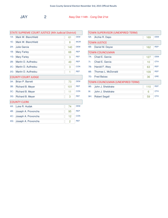JAY 2 Assy Dist 114th - Cong Dist 21st

| <b>STATE SUPREME COURT JUSTICE (4th Judicial District)</b> |                         |                |            |  |
|------------------------------------------------------------|-------------------------|----------------|------------|--|
| $1A$ :                                                     | Mark W. Blanchfield     | 61             | <b>DEM</b> |  |
| 1E:                                                        | Mark W. Blanchfield     | 8              | <b>WOR</b> |  |
| $2A$ :                                                     | <b>Julie Garcia</b>     | 140            | <b>DEM</b> |  |
| 1B:                                                        | <b>Mary Farley</b>      | 68             | <b>REP</b> |  |
| $1G$ :                                                     | <b>Mary Farley</b>      | 3              | <b>REF</b> |  |
| 2B:                                                        | Martin D. Auffredou     | 49             | <b>REP</b> |  |
| $2C$ :                                                     | Martin D. Auffredou     | 3              | <b>CON</b> |  |
| $2G$ :                                                     | Martin D. Auffredou     | 1              | <b>REF</b> |  |
| <b>COUNTY COURT JUDGE</b>                                  |                         |                |            |  |
| $3A$ :                                                     | <b>Brian P. Barrett</b> | 73             | <b>DEM</b> |  |
| 3B:                                                        | Richard B. Meyer        | 101            | <b>REP</b> |  |
| $3C$ :                                                     | Richard B. Meyer        | 11             | <b>CON</b> |  |
| $3G$ :                                                     | Richard B. Meyer        | 3              | <b>REF</b> |  |
|                                                            | <b>COUNTY CLERK</b>     |                |            |  |
| 4A:                                                        | Luke R. Hudak           | 74             | <b>DEM</b> |  |
| 4B:                                                        | Joseph A. Provoncha     | 95             | <b>REP</b> |  |
| 4C:                                                        | Joseph A. Provoncha     | 12             | <b>CON</b> |  |
| 4G:                                                        | Joseph A. Provoncha     | $\overline{2}$ | <b>REF</b> |  |

| <b>TOWN SUPERVISOR (UNEXPIRED TERM)</b> |                        |     |            |  |
|-----------------------------------------|------------------------|-----|------------|--|
| $5A$ :                                  | Archie R. Depo         | 169 | <b>DEM</b> |  |
|                                         | <b>TOWN JUSTICE</b>    |     |            |  |
| 6B:                                     | Daniel M. Deyoe        | 162 | <b>REP</b> |  |
|                                         | <b>TOWN COUNCILMAN</b> |     |            |  |
| $7A$ :                                  | Chad E. Garcia         | 127 | <b>DEM</b> |  |
| 7!                                      | Chad E. Garcia         | 10  | <b>OTH</b> |  |
| 7B:                                     | Harold F. Akey         | 63  | <b>REP</b> |  |
| 8B:                                     | Thomas L. McDonald     | 109 | <b>REP</b> |  |
| 7D:                                     | <b>Fred Balzac</b>     | 36  | <b>GRE</b> |  |
| TOWN COUNCILMAN (UNEXPIRED TERM)        |                        |     |            |  |
| 9B:                                     | John J. Sheldrake      | 110 | <b>REP</b> |  |
| $9$ :                                   | John J. Sheldrake      | 6   | <b>OTH</b> |  |
| 9H:                                     | <b>Robert Segall</b>   | 59  | <b>OTH</b> |  |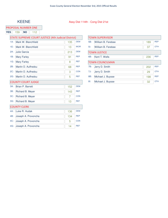#### KEENE Assy Dist 114th - Cong Dist 21st

| PROPOSAL NUMBER ONE |  |
|---------------------|--|
|                     |  |

| <b>YES</b>                                          | 159<br><b>NO</b><br>112   |     |            |  |
|-----------------------------------------------------|---------------------------|-----|------------|--|
| STATE SUPREME COURT JUSTICE (4th Judicial District) |                           |     |            |  |
| $1A$ :                                              | Mark W. Blanchfield       | 135 | <b>DEM</b> |  |
| 1E:                                                 | Mark W. Blanchfield       | 13  | <b>WOR</b> |  |
| $2A$ :                                              | Julie Garcia              | 213 | <b>DEM</b> |  |
| 1B:                                                 | <b>Mary Farley</b>        | 91  | <b>REP</b> |  |
| $1G$ :                                              | <b>Mary Farley</b>        | 8   | <b>REF</b> |  |
| 2B:                                                 | Martin D. Auffredou       | 68  | <b>REP</b> |  |
| 2C:                                                 | Martin D. Auffredou       | 3   | <b>CON</b> |  |
| $2G$ :                                              | Martin D. Auffredou       | 5   | <b>REF</b> |  |
|                                                     | <b>COUNTY COURT JUDGE</b> |     |            |  |
| $3A$ :                                              | <b>Brian P. Barrett</b>   | 152 | <b>DEM</b> |  |
| 3B:                                                 | Richard B. Meyer          | 143 | <b>REP</b> |  |
| $3C$ :                                              | Richard B. Meyer          | 7   | <b>CON</b> |  |
| $3G$ :                                              | Richard B. Meyer          | 13  | <b>REF</b> |  |
|                                                     | <b>COUNTY CLERK</b>       |     |            |  |
| 4A:                                                 | Luke R. Hudak             | 136 | <b>DEM</b> |  |
| 4B:                                                 | Joseph A. Provoncha       | 134 | <b>REP</b> |  |
| 4C:                                                 | Joseph A. Provoncha       | 5   | <b>CON</b> |  |
| 4G:                                                 | Joseph A. Provoncha       | 14  | <b>REF</b> |  |
|                                                     |                           |     |            |  |

| TOWN SUPERVISOR |                        |     |            |
|-----------------|------------------------|-----|------------|
| 5B:             | William B. Ferebee     | 189 | <b>REP</b> |
| $51$ :          | William B. Ferebee     | 37  | <b>OTH</b> |
|                 | <b>TOWN JUSTICE</b>    |     |            |
| $6B$ :          | Kent T. Wells          | 236 | <b>REP</b> |
|                 | <b>TOWN COUNCILMAN</b> |     |            |
| 7B:             | Jerry D. Smith         | 202 | <b>REP</b> |
| 7J:             | Jerry D. Smith         | 29  | <b>OTH</b> |
| 8B:             | Michael J. Buysse      | 198 | <b>REP</b> |
| $81$ :          | Michael J. Buysse      | 32  | <b>OTH</b> |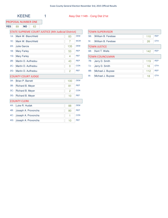### KEENE 1 Assy Dist 114th - Cong Dist 21st

### PROPOSAL NUMBER ONE

### **YES** 89 **NO** 63

| STATE SUPREME COURT JUSTICE (4th Judicial District) |  |
|-----------------------------------------------------|--|
|-----------------------------------------------------|--|

| $1A$ : | Mark W. Blanchfield       | 83  | <b>DEM</b> |  |  |
|--------|---------------------------|-----|------------|--|--|
| 1E:    | Mark W. Blanchfield       | 7   | <b>WOR</b> |  |  |
| $2A$ : | Julie Garcia              | 135 | <b>DEM</b> |  |  |
| 1B:    | <b>Mary Farley</b>        | 53  | <b>REP</b> |  |  |
| 1G:    | <b>Mary Farley</b>        | 4   | <b>REF</b> |  |  |
| 2B:    | Martin D. Auffredou       | 43  | <b>REP</b> |  |  |
| $2C$ : | Martin D. Auffredou       | 0   | <b>CON</b> |  |  |
| $2G$ : | Martin D. Auffredou       | 2   | <b>REF</b> |  |  |
|        | <b>COUNTY COURT JUDGE</b> |     |            |  |  |
| $3A$ : | <b>Brian P. Barrett</b>   | 100 | <b>DEM</b> |  |  |
| 3B:    | Richard B. Meyer          | 81  | <b>REP</b> |  |  |
| $3C$ : | Richard B. Meyer          | 2   | <b>CON</b> |  |  |
| $3G$ : | Richard B. Meyer          | 10  | <b>REF</b> |  |  |
|        | <b>COUNTY CLERK</b>       |     |            |  |  |
|        |                           |     |            |  |  |
| 4A:    | Luke R. Hudak             | 88  | <b>DEM</b> |  |  |
| 4B:    | Joseph A. Provoncha       | 80  | <b>REP</b> |  |  |
| 4C:    | Joseph A. Provoncha       | 1   | <b>CON</b> |  |  |

| <b>TOWN SUPERVISOR</b> |                        |     |            |
|------------------------|------------------------|-----|------------|
| 5B:                    | William B. Ferebee     | 110 | <b>REP</b> |
| $51$ :                 | William B. Ferebee     | 26  | <b>OTH</b> |
|                        | <b>TOWN JUSTICE</b>    |     |            |
| 6B:                    | Kent T. Wells          | 142 | <b>REP</b> |
|                        | <b>TOWN COUNCILMAN</b> |     |            |
| 7B:                    | Jerry D. Smith         | 119 | <b>REP</b> |
| 7J:                    | Jerry D. Smith         | 16  | <b>OTH</b> |
| 8B:                    | Michael J. Buysse      | 112 | <b>REP</b> |
| $8$ :                  | Michael J. Buysse      | 18  | <b>OTH</b> |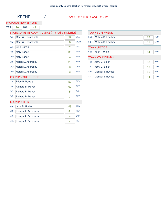### KEENE 2 Assy Dist 114th - Cong Dist 21st

### PROPOSAL NUMBER ONE

**YES** 70 **NO** 49

| STATE SUPREME COURT JUSTICE (4th Judicial District) |
|-----------------------------------------------------|
|-----------------------------------------------------|

| $1A$ : | Mark W. Blanchfield       | 52 | <b>DEM</b> |  |
|--------|---------------------------|----|------------|--|
| 1E:    | Mark W. Blanchfield       | 6  | <b>WOR</b> |  |
| $2A$ : | Julie Garcia              | 78 | <b>DEM</b> |  |
| 1B:    | <b>Mary Farley</b>        | 38 | <b>REP</b> |  |
| 1G:    | <b>Mary Farley</b>        | 4  | <b>REF</b> |  |
| 2B:    | Martin D. Auffredou       | 25 | <b>REP</b> |  |
| $2C$ : | Martin D. Auffredou       | 3  | <b>CON</b> |  |
| $2G$ : | Martin D. Auffredou       | 3  | <b>REF</b> |  |
|        | <b>COUNTY COURT JUDGE</b> |    |            |  |
| $3A$ : | <b>Brian P. Barrett</b>   | 52 | <b>DEM</b> |  |
| 3B:    | Richard B. Meyer          | 62 | <b>REP</b> |  |
| $3C$ : | Richard B. Meyer          | 5  | <b>CON</b> |  |
| $3G$ : | Richard B. Meyer          | 3  | <b>REF</b> |  |
|        | <b>COUNTY CLERK</b>       |    |            |  |
| 4A:    | Luke R. Hudak             | 48 | <b>DEM</b> |  |
| 4B:    | Joseph A. Provoncha       | 54 | <b>REP</b> |  |
| 4C:    | Joseph A. Provoncha       | 4  | <b>CON</b> |  |
| 4G:    | Joseph A. Provoncha       | 4  | <b>REF</b> |  |

| <b>TOWN SUPERVISOR</b> |                        |    |            |
|------------------------|------------------------|----|------------|
| 5B:                    | William B. Ferebee     | 79 | <b>REP</b> |
| $51$ :                 | William B. Ferebee     | 11 | <b>OTH</b> |
|                        | <b>TOWN JUSTICE</b>    |    |            |
| 6B:                    | Kent T. Wells          | 94 | <b>REP</b> |
|                        | <b>TOWN COUNCILMAN</b> |    |            |
| 7B:                    | Jerry D. Smith         | 83 | <b>REP</b> |
| 7J:                    | Jerry D. Smith         | 13 | <b>OTH</b> |
| 8B:                    | Michael J. Buysse      | 86 | <b>REP</b> |
| 81:                    | Michael J. Buysse      | 14 | <b>OTH</b> |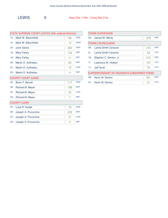| STATE SUPREME COURT JUSTICE (4th Judicial District) |                           |     |            |  |
|-----------------------------------------------------|---------------------------|-----|------------|--|
| $1A$ :                                              | Mark W. Blanchfield       | 69  | <b>DEM</b> |  |
| 1E:                                                 | Mark W. Blanchfield       | 12  | <b>WOR</b> |  |
| $2A$ :                                              | Julie Garcia              | 263 | <b>DEM</b> |  |
| 1B:                                                 | <b>Mary Farley</b>        | 124 | <b>REP</b> |  |
| $1G$ :                                              | <b>Mary Farley</b>        | 11  | <b>REF</b> |  |
| 2B:                                                 | Martin D. Auffredou       | 83  | <b>REP</b> |  |
| $2C$ :                                              | Martin D. Auffredou       | 15  | <b>CON</b> |  |
| $2G$ :                                              | Martin D. Auffredou       | 4   | <b>REF</b> |  |
|                                                     | <b>COUNTY COURT JUDGE</b> |     |            |  |
| $3A$ :                                              | <b>Brian P. Barrett</b>   | 117 | <b>DEM</b> |  |
| 3B:                                                 | Richard B. Meyer          | 198 | <b>REP</b> |  |
| $3C$ :                                              | Richard B. Meyer          | 24  | <b>CON</b> |  |
| $3G$ :                                              | Richard B. Meyer          | 7   | <b>REF</b> |  |
|                                                     | <b>COUNTY CLERK</b>       |     |            |  |
| 4A:                                                 | Luke R. Hudak             | 79  | <b>DEM</b> |  |
| 4B:                                                 | Joseph A. Provoncha       | 235 | <b>REP</b> |  |
| $4C$ :                                              | Joseph A. Provoncha       | 27  | <b>CON</b> |  |
| 4G:                                                 | Joseph A. Provoncha       | 11  | <b>REF</b> |  |

| <b>TOWN SUPERVISOR</b>                      |                        |     |            |  |
|---------------------------------------------|------------------------|-----|------------|--|
| 5B:                                         | James W. Monty         | 279 | <b>REP</b> |  |
|                                             | <b>TOWN COUNCILMAN</b> |     |            |  |
| 6B:                                         | Lanita Smith Canavan   | 216 | <b>REP</b> |  |
| 6!                                          | Lanita Smith Canavan   | 29  | <b>OTH</b> |  |
| 7B:                                         | Stephen C. Denton, Jr  | 215 | <b>REP</b> |  |
| 7!                                          | Lawrence W. Hulbert    | 107 | <b>OTH</b> |  |
| 7J:                                         | Jeff Scott             | 76  | <b>OTH</b> |  |
| SUPERINTENDENT OF HIGHWAYS (UNEXPIRED TERM) |                        |     |            |  |
| 8B:                                         | Kevin M. Denton        | 301 | <b>REP</b> |  |
| 8J:                                         | Kevin M. Denton        | 31  | <b>OTH</b> |  |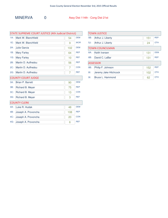| <b>STATE SUPREME COURT JUSTICE (4th Judicial District)</b> |                           |     |            |  |
|------------------------------------------------------------|---------------------------|-----|------------|--|
| $1A$ :                                                     | Mark W. Blanchfield       | 54  | <b>DEM</b> |  |
| 1E:                                                        | Mark W. Blanchfield       | 9   | <b>WOR</b> |  |
| $2A$ :                                                     | Julie Garcia              | 102 | <b>DEM</b> |  |
| 1B:                                                        | <b>Mary Farley</b>        | 64  | <b>REP</b> |  |
| $1G$ :                                                     | <b>Mary Farley</b>        | 10  | <b>REF</b> |  |
| 2B:                                                        | Martin D. Auffredou       | 56  | <b>REP</b> |  |
| $2C$ :                                                     | Martin D. Auffredou       | 7   | <b>CON</b> |  |
| $2G$ :                                                     | Martin D. Auffredou       | 7   | <b>REF</b> |  |
|                                                            | <b>COUNTY COURT JUDGE</b> |     |            |  |
| $3A$ :                                                     | <b>Brian P. Barrett</b>   | 90  | <b>DEM</b> |  |
| 3B:                                                        | Richard B. Meyer          | 75  | <b>REP</b> |  |
| $3C$ :                                                     | Richard B. Meyer          | 13  | <b>CON</b> |  |
| $3G$ :                                                     | Richard B. Meyer          | 3   | <b>REF</b> |  |
|                                                            | <b>COUNTY CLERK</b>       |     |            |  |
| 4A:                                                        | Luke R. Hudak             | 48  | <b>DEM</b> |  |
| 4B:                                                        | Joseph A. Provoncha       | 108 | <b>REP</b> |  |
| $4C$ :                                                     | Joseph A. Provoncha       | 20  | <b>CON</b> |  |
| 4G:                                                        | Joseph A. Provoncha       | 6   | <b>REF</b> |  |

| <b>TOWN JUSTICE</b> |                        |     |            |
|---------------------|------------------------|-----|------------|
| 5B:                 | Arthur J. Liberty      | 151 | <b>REP</b> |
| 5J:                 | Arthur J. Liberty      | 24  | <b>OTH</b> |
|                     | <b>TOWN COUNCILMAN</b> |     |            |
| $6A$ :              | Keith Iversen          | 131 | <b>DEM</b> |
| $6B$ :              | David C. LaBar         | 131 | <b>REP</b> |
|                     | <b>ASSESSOR</b>        |     |            |
| 8B:                 | Philip F. Johnson      | 152 | <b>REP</b> |
| $8$ :               | Jeremy Jake Hitchcock  | 102 | <b>OTH</b> |
| $9$ :               | Bruce L. Hammond       | 62  | OTH        |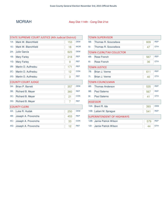### MORIAH Assy Dist 114th - Cong Dist 21st

| STATE SUPREME COURT JUSTICE (4th Judicial District) |                           |     |            |  |
|-----------------------------------------------------|---------------------------|-----|------------|--|
| $1A$ :                                              | Mark W. Blanchfield       | 153 | <b>DEM</b> |  |
| $1E$ :                                              | Mark W. Blanchfield       | 18  | <b>WOR</b> |  |
| $2A$ :                                              | Julie Garcia              | 623 | <b>DEM</b> |  |
| 1B:                                                 | <b>Mary Farley</b>        | 218 | <b>REP</b> |  |
| $1G$ :                                              | <b>Mary Farley</b>        | 9   | <b>REF</b> |  |
| 2B:                                                 | Martin D. Auffredou       | 171 | <b>REP</b> |  |
| $2C$ :                                              | Martin D. Auffredou       | 12  | <b>CON</b> |  |
| $2G$ :                                              | Martin D. Auffredou       | 3   | <b>REF</b> |  |
|                                                     | <b>COUNTY COURT JUDGE</b> |     |            |  |
| $3A$ :                                              | <b>Brian P. Barrett</b>   | 357 | <b>DEM</b> |  |
| 3B:                                                 | Richard B. Meyer          | 360 | <b>REP</b> |  |
| $3C$ :                                              | Richard B. Meyer          | 21  | <b>CON</b> |  |
| $3G$ :                                              | Richard B. Meyer          | 7   | <b>REF</b> |  |
|                                                     | <b>COUNTY CLERK</b>       |     |            |  |
| 4A:                                                 | Luke R. Hudak             | 250 | <b>DEM</b> |  |
| 4B:                                                 | Joseph A. Provoncha       | 453 | <b>REP</b> |  |
| 4C:                                                 | Joseph A. Provoncha       | 33  | <b>CON</b> |  |
| 4G:                                                 | Joseph A. Provoncha       | 12  | <b>REF</b> |  |

|         | <b>TOWN SUPERVISOR</b>            |     |            |  |  |
|---------|-----------------------------------|-----|------------|--|--|
| 5B:     | Thomas R. Scozzafava              | 609 | <b>REP</b> |  |  |
| $5$ :   | Thomas R. Scozzafava              | 47  | <b>OTH</b> |  |  |
|         | <b>TOWN CLERK/TAX COLLECTOR</b>   |     |            |  |  |
| 6B:     | Rose French                       | 567 | <b>REP</b> |  |  |
| 6!      | Rose French                       | 36  | <b>OTH</b> |  |  |
|         | <b>TOWN JUSTICE</b>               |     |            |  |  |
| 7B:     | Brian J. Venne                    | 611 | <b>REP</b> |  |  |
| 7!      | Brian J. Venne                    | 40  | <b>OTH</b> |  |  |
|         | <b>TOWN COUNCILMAN</b>            |     |            |  |  |
| 8B:     | Thomas Anderson                   | 535 | <b>REP</b> |  |  |
| 9B:     | Paul Salerno                      | 567 | <b>REP</b> |  |  |
| $9$ :   | <b>Paul Salerno</b>               | 41  | <b>OTH</b> |  |  |
|         | <b>ASSESSOR</b>                   |     |            |  |  |
| $10A$ : | Brent R. Ida                      | 393 | <b>DEM</b> |  |  |
| $10B$ : | Lailani M. Sprague                | 541 | <b>REP</b> |  |  |
|         | <b>SUPERINTENDENT OF HIGHWAYS</b> |     |            |  |  |
| $12B$ : | Jamie Patrick Wilson              | 579 | <b>REP</b> |  |  |
| $12$ :  | Jamie Patrick Wilson              | 44  | <b>OTH</b> |  |  |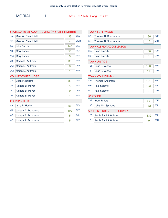| STATE SUPREME COURT JUSTICE (4th Judicial District) |                           |     |            |  |
|-----------------------------------------------------|---------------------------|-----|------------|--|
| $1A$ :                                              | Mark W. Blanchfield       | 33  | <b>DEM</b> |  |
| 1E:                                                 | Mark W. Blanchfield       | 4   | <b>WOR</b> |  |
| $2A$ :                                              | <b>Julie Garcia</b>       | 146 | <b>DEM</b> |  |
| 1B:                                                 | <b>Mary Farley</b>        | 50  | <b>REP</b> |  |
| 1G:                                                 | <b>Mary Farley</b>        | 3   | <b>REF</b> |  |
| 2B:                                                 | Martin D. Auffredou       | 33  | <b>REP</b> |  |
| $2C$ :                                              | Martin D. Auffredou       | 3   | <b>CON</b> |  |
| $2G$ :                                              | Martin D. Auffredou       | 1   | <b>REF</b> |  |
|                                                     | <b>COUNTY COURT JUDGE</b> |     |            |  |
| $3A$ :                                              | <b>Brian P. Barrett</b>   | 83  | <b>DEM</b> |  |
| 3B:                                                 | Richard B. Meyer          | 73  | <b>REP</b> |  |
| $3C$ :                                              | Richard B. Meyer          | 2   | <b>CON</b> |  |
| $3G$ :                                              | Richard B. Meyer          | 4   | <b>REF</b> |  |
|                                                     | <b>COUNTY CLERK</b>       |     |            |  |
| 4A:                                                 | Luke R. Hudak             | 53  | <b>DEM</b> |  |
| 4B:                                                 | Joseph A. Provoncha       | 102 | <b>REP</b> |  |
| 4C:                                                 | Joseph A. Provoncha       | 5   | <b>CON</b> |  |
| 4G:                                                 | Joseph A. Provoncha       | 5   | <b>REF</b> |  |

| <b>TOWN SUPERVISOR</b>            |                                 |     |            |
|-----------------------------------|---------------------------------|-----|------------|
| 5B:                               | Thomas R. Scozzafava            | 136 | <b>REP</b> |
| $5$ :                             | Thomas R. Scozzafava            | 15  | <b>OTH</b> |
|                                   | <b>TOWN CLERK/TAX COLLECTOR</b> |     |            |
| 6B:                               | Rose French                     | 130 | <b>REP</b> |
| 6!                                | Rose French                     | 8   | <b>OTH</b> |
|                                   | <b>TOWN JUSTICE</b>             |     |            |
| 7B:                               | Brian J. Venne                  | 136 | <b>REP</b> |
| 7!                                | Brian J. Venne                  | 10  | <b>OTH</b> |
|                                   | <b>TOWN COUNCILMAN</b>          |     |            |
| 8B:                               | <b>Thomas Anderson</b>          | 131 | <b>REP</b> |
| 9B:                               | Paul Salerno                    | 133 | <b>REP</b> |
| $9$ :                             | Paul Salerno                    | 9   | <b>OTH</b> |
|                                   | <b>ASSESSOR</b>                 |     |            |
| $10A$ :                           | Brent R. Ida                    | 86  | <b>DEM</b> |
| $10B$ :                           | Lailani M. Sprague              | 132 | <b>REP</b> |
| <b>SUPERINTENDENT OF HIGHWAYS</b> |                                 |     |            |
| $12B$ :                           | Jamie Patrick Wilson            | 139 | <b>REP</b> |
| $12$ :                            | Jamie Patrick Wilson            | 9   | <b>OTH</b> |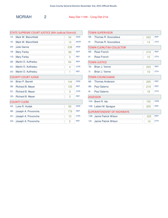| <b>STATE SUPREME COURT JUSTICE (4th Judicial District)</b> |                         |     |            |  |
|------------------------------------------------------------|-------------------------|-----|------------|--|
| $1A$ :                                                     | Mark W. Blanchfield     | 54  | <b>DEM</b> |  |
| 1E:                                                        | Mark W. Blanchfield     | 10  | <b>WOR</b> |  |
| $2A$ :                                                     | <b>Julie Garcia</b>     | 238 | <b>DEM</b> |  |
| 1B:                                                        | <b>Mary Farley</b>      | 99  | <b>REP</b> |  |
| $1G$ :                                                     | <b>Mary Farley</b>      | 0   | <b>REF</b> |  |
| 2B:                                                        | Martin D. Auffredou     | 64  | <b>REP</b> |  |
| 2C:                                                        | Martin D. Auffredou     | 4   | <b>CON</b> |  |
| $2G$ :                                                     | Martin D. Auffredou     | 1   | <b>REF</b> |  |
| <b>COUNTY COURT JUDGE</b>                                  |                         |     |            |  |
| $3A$ :                                                     | <b>Brian P. Barrett</b> | 144 | <b>DEM</b> |  |
| 3B:                                                        | Richard B. Meyer        | 135 | <b>REP</b> |  |
| $3C$ :                                                     | Richard B. Meyer        | 9   | <b>CON</b> |  |
| $3G$ :                                                     | Richard B. Meyer        | 2   | <b>REF</b> |  |
|                                                            | <b>COUNTY CLERK</b>     |     |            |  |
| 4A:                                                        | Luke R. Hudak           | 93  | <b>DEM</b> |  |
| 4B:                                                        | Joseph A. Provoncha     | 179 | <b>REP</b> |  |
| $4C$ :                                                     | Joseph A. Provoncha     | 15  | <b>CON</b> |  |
| 4G:                                                        | Joseph A. Provoncha     | 5   | <b>REF</b> |  |

| <b>TOWN SUPERVISOR</b>            |                                 |     |            |  |
|-----------------------------------|---------------------------------|-----|------------|--|
| 5B:                               | Thomas R. Scozzafava            | 242 | <b>REP</b> |  |
| $5$ :                             | Thomas R. Scozzafava            | 14  | <b>OTH</b> |  |
|                                   | <b>TOWN CLERK/TAX COLLECTOR</b> |     |            |  |
| 6B:                               | Rose French                     | 219 | <b>REP</b> |  |
| 6!                                | Rose French                     | 15  | <b>OTH</b> |  |
|                                   | <b>TOWN JUSTICE</b>             |     |            |  |
| 7B:                               | Brian J. Venne                  | 233 | <b>REP</b> |  |
| 7!                                | Brian J. Venne                  | 19  | <b>OTH</b> |  |
|                                   | <b>TOWN COUNCILMAN</b>          |     |            |  |
| 8B:                               | <b>Thomas Anderson</b>          | 205 | <b>REP</b> |  |
| 9B:                               | <b>Paul Salerno</b>             | 219 | <b>REP</b> |  |
| $9$ :                             | Paul Salerno                    | 18  | <b>OTH</b> |  |
|                                   | <b>ASSESSOR</b>                 |     |            |  |
| $10A$ :                           | Brent R. Ida                    | 150 | <b>DEM</b> |  |
| 10B:                              | Lailani M. Sprague              | 205 | <b>REP</b> |  |
| <b>SUPERINTENDENT OF HIGHWAYS</b> |                                 |     |            |  |
|                                   | 12B: Jamie Patrick Wilson       | 225 | <b>REP</b> |  |
| $12$ :                            | Jamie Patrick Wilson            | 19  | <b>OTH</b> |  |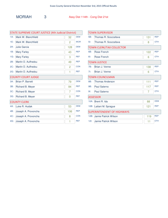| <b>STATE SUPREME COURT JUSTICE (4th Judicial District)</b> |                     |            |  |  |
|------------------------------------------------------------|---------------------|------------|--|--|
| Mark W. Blanchfield                                        | 32                  | <b>DEM</b> |  |  |
| Mark W. Blanchfield                                        | $\overline{2}$      | <b>WOR</b> |  |  |
| Julie Garcia                                               | 128                 | <b>DEM</b> |  |  |
| <b>Mary Farley</b>                                         | 43                  | <b>REP</b> |  |  |
| <b>Mary Farley</b>                                         | 3                   | <b>REF</b> |  |  |
| Martin D. Auffredou                                        | 49                  | <b>REP</b> |  |  |
| Martin D. Auffredou                                        | 2                   | <b>CON</b> |  |  |
| Martin D. Auffredou                                        | 1                   | <b>REF</b> |  |  |
| <b>COUNTY COURT JUDGE</b>                                  |                     |            |  |  |
| <b>Brian P. Barrett</b>                                    | 79                  | <b>DEM</b> |  |  |
| Richard B. Meyer                                           | 84                  | <b>REP</b> |  |  |
| Richard B. Meyer                                           | 7                   | <b>CON</b> |  |  |
| Richard B. Meyer                                           | 0                   | <b>REF</b> |  |  |
|                                                            |                     |            |  |  |
| Luke R. Hudak                                              | 53                  | <b>DEM</b> |  |  |
| Joseph A. Provoncha                                        | 106                 | <b>REP</b> |  |  |
| Joseph A. Provoncha                                        | 8                   | <b>CON</b> |  |  |
| Joseph A. Provoncha                                        | 1                   | <b>REF</b> |  |  |
|                                                            | <b>COUNTY CLERK</b> |            |  |  |

| <b>TOWN SUPERVISOR</b>            |                                 |     |            |  |
|-----------------------------------|---------------------------------|-----|------------|--|
| 5B:                               | Thomas R. Scozzafava            | 131 | <b>REP</b> |  |
| $51$ :                            | Thomas R. Scozzafava            | 8   | <b>OTH</b> |  |
|                                   | <b>TOWN CLERK/TAX COLLECTOR</b> |     |            |  |
| 6B:                               | Rose French                     | 122 | <b>REP</b> |  |
| 6!                                | Rose French                     | 6   | <b>OTH</b> |  |
|                                   | <b>TOWN JUSTICE</b>             |     |            |  |
| 7B:                               | Brian J. Venne                  | 138 | <b>REP</b> |  |
| 7!                                | Brian J. Venne                  | 6   | <b>OTH</b> |  |
|                                   | <b>TOWN COUNCILMAN</b>          |     |            |  |
| 8B:                               | <b>Thomas Anderson</b>          | 111 | <b>REP</b> |  |
| 9B:                               | Paul Salerno                    | 117 | <b>REP</b> |  |
| $9$ :                             | Paul Salerno                    | 7   | <b>OTH</b> |  |
|                                   | <b>ASSESSOR</b>                 |     |            |  |
| $10A$ :                           | Brent R. Ida                    | 88  | <b>DEM</b> |  |
| $10B$ :                           | Lailani M. Sprague              | 121 | <b>REP</b> |  |
| <b>SUPERINTENDENT OF HIGHWAYS</b> |                                 |     |            |  |
| $12B$ :                           | Jamie Patrick Wilson            | 119 | <b>REP</b> |  |
| $12$ :                            | Jamie Patrick Wilson            | 11  | <b>OTH</b> |  |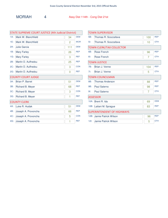MORIAH 4 Assy Dist 114th - Cong Dist 21st

| STATE SUPREME COURT JUSTICE (4th Judicial District) |                           |                |            |  |
|-----------------------------------------------------|---------------------------|----------------|------------|--|
| $1A$ :                                              | Mark W. Blanchfield       | 34             | <b>DEM</b> |  |
| $1E$ :                                              | Mark W. Blanchfield       | $\overline{2}$ | <b>WOR</b> |  |
| $2A$ :                                              | <b>Julie Garcia</b>       | 111            | <b>DEM</b> |  |
| 1B:                                                 | <b>Mary Farley</b>        | 26             | <b>REP</b> |  |
| 1G:                                                 | <b>Mary Farley</b>        | 3              | <b>REF</b> |  |
| 2B:                                                 | Martin D. Auffredou       | 25             | <b>REP</b> |  |
| $2C$ :                                              | Martin D. Auffredou       | 3              | <b>CON</b> |  |
| $2G$ :                                              | Martin D. Auffredou       | 0              | <b>REF</b> |  |
|                                                     | <b>COUNTY COURT JUDGE</b> |                |            |  |
| $3A$ :                                              | Brian P. Barret           | 51             | <b>DEM</b> |  |
| 3B:                                                 | Richard B. Meyer          | 68             | <b>REP</b> |  |
| $3C$ :                                              | Richard B. Meyer          | 3              | <b>CON</b> |  |
| $3G$ :                                              | Richard B. Meyer          | 1              | <b>REF</b> |  |
|                                                     | <b>COUNTY CLERK</b>       |                |            |  |
| 4A:                                                 | Luke R. Hudak             | 51             | <b>DEM</b> |  |
| 4B:                                                 | Joseph A. Provoncha       | 66             | <b>REP</b> |  |
| 4C:                                                 | Joseph A. Provoncha       | 5              | <b>CON</b> |  |
| 4G:                                                 | Joseph A. Provoncha       | 1              | <b>REF</b> |  |

| <b>TOWN SUPERVISOR</b>            |                                 |     |            |  |
|-----------------------------------|---------------------------------|-----|------------|--|
| 5B:                               | Thomas R. Scozzafava            | 100 | <b>REP</b> |  |
| 5!                                | Thomas R. Scozzafava            | 10  | <b>OTH</b> |  |
|                                   | <b>TOWN CLERK/TAX COLLECTOR</b> |     |            |  |
| 6B:                               | Rose French                     | 96  | <b>REP</b> |  |
| 6!                                | Rose French                     | 7   | <b>OTH</b> |  |
|                                   | <b>TOWN JUSTICE</b>             |     |            |  |
| 7B:                               | Brian J. Venne                  | 104 | <b>REP</b> |  |
| 7!                                | Brian J. Venne                  | 5   | <b>OTH</b> |  |
|                                   | <b>TOWN COUNCILMAN</b>          |     |            |  |
| 8B:                               | <b>Thomas Anderson</b>          | 88  | <b>REP</b> |  |
| 9B:                               | Paul Salerno                    | 98  | <b>REP</b> |  |
| $9$ :                             | Paul Salerno                    | 7   | <b>OTH</b> |  |
|                                   | <b>ASSESSOR</b>                 |     |            |  |
| $10A$ :                           | Brent R. Ida                    | 69  | <b>DEM</b> |  |
| $10B$ :                           | Lailani M. Sprague              | 83  | <b>REP</b> |  |
| <b>SUPERINTENDENT OF HIGHWAYS</b> |                                 |     |            |  |
| $12B$ :                           | Jamie Patrick Wilson            | 96  | <b>REP</b> |  |
| $12$ :                            | Jamie Patrick Wilson            | 5   | <b>OTH</b> |  |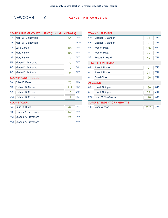| STATE SUPREME COURT JUSTICE (4th Judicial District) |                           |     |            |  |
|-----------------------------------------------------|---------------------------|-----|------------|--|
| $1A$ :                                              | Mark W. Blanchfield       | 64  | <b>DEM</b> |  |
| 1E:                                                 | Mark W. Blanchfield       | 10  | <b>WOR</b> |  |
| $2A$ :                                              | Julie Garcia              | 122 | <b>DEM</b> |  |
| 1B:                                                 | <b>Mary Farley</b>        | 102 | <b>REP</b> |  |
| $1G$ :                                              | <b>Mary Farley</b>        | 13  | <b>REF</b> |  |
| 2B:                                                 | Martin D. Auffredou       | 79  | <b>REP</b> |  |
| $2C$ :                                              | Martin D. Auffredou       | 10  | <b>CON</b> |  |
| $2G$ :                                              | Martin D. Auffredou       | 9   | <b>REF</b> |  |
|                                                     | <b>COUNTY COURT JUDGE</b> |     |            |  |
| $3A$ :                                              | Brian P. Barret           | 75  | <b>DEM</b> |  |
| 3B:                                                 | Richard B. Meyer          | 112 | <b>REP</b> |  |
| $3C$ :                                              | Richard B. Meyer          | 18  | <b>CON</b> |  |
| $3G$ :                                              | Richard B. Meyer          | 17  | <b>REF</b> |  |
|                                                     | <b>COUNTY CLERK</b>       |     |            |  |
| 4A:                                                 | Luke R. Hudak             | 44  | <b>DEM</b> |  |
| 4B:                                                 | Joseph A. Provoncha       | 149 | <b>REP</b> |  |
| $4C$ :                                              | Joseph A. Provoncha       | 21  | <b>CON</b> |  |
| 4G:                                                 | Joseph A. Provoncha       | 15  | <b>REF</b> |  |
|                                                     |                           |     |            |  |

| <b>TOWN SUPERVISOR</b>            |                        |     |            |
|-----------------------------------|------------------------|-----|------------|
| $5A$ :                            | Fleanor P. Yandon      | 33  | <b>DEM</b> |
| 5H:                               | Eleanor P. Yandon      | 7   | <b>OTH</b> |
| 5B:                               | Wester Miga            | 155 | <b>REP</b> |
| $51$ :                            | Wester Miga            | 20  | <b>OTH</b> |
| $5G$ :                            | Robert E. Ward         | 49  | <b>OTH</b> |
|                                   | <b>TOWN COUNCILMAN</b> |     |            |
| 6A:                               | Joseph Novak           | 121 | <b>DEM</b> |
| 6!                                | Joseph Novak           | 31  | <b>OTH</b> |
| 6H:                               | <b>David Olbert</b>    | 156 | <b>OTH</b> |
|                                   | <b>ASSESSOR</b>        |     |            |
| 8A:                               | <b>Lowell Stringer</b> | 180 | <b>DEM</b> |
| 8H:                               | <b>Lowell Stringer</b> | 39  | <b>OTH</b> |
| 9A:                               | Edna M. VanAuken       | 190 | <b>DEM</b> |
| <b>SUPERINTENDENT OF HIGHWAYS</b> |                        |     |            |
| $10$ :                            | Mark Yandon            | 207 | OTH        |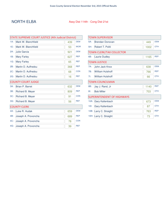#### NORTH ELBA Assy Dist 114th - Cong Dist 21st

| STATE SUPREME COURT JUSTICE (4th Judicial District) |                           |     |            |
|-----------------------------------------------------|---------------------------|-----|------------|
| $1A$ :                                              | Mark W. Blanchfield       | 439 | <b>DEM</b> |
| 1E:                                                 | Mark W. Blanchfield       | 53  | <b>WOR</b> |
| $2A$ :                                              | Julie Garcia              | 921 | <b>DEM</b> |
| 1B:                                                 | <b>Mary Farley</b>        | 627 | <b>REP</b> |
| $1G$ :                                              | <b>Mary Farley</b>        | 65  | <b>REF</b> |
| 2B:                                                 | Martin D. Auffredou       | 368 | <b>REP</b> |
| $2C$ :                                              | Martin D. Auffredou       | 68  | <b>CON</b> |
| $2G$ :                                              | Martin D. Auffredou       | 16  | <b>REF</b> |
|                                                     | <b>COUNTY COURT JUDGE</b> |     |            |
| $3A$ :                                              | Brian P. Barret           | 632 | <b>DEM</b> |
| 3B:                                                 | Richard B. Meyer          | 809 | <b>REP</b> |
| $3C$ :                                              | Richard B. Meyer          | 91  | <b>CON</b> |
| $3G$ :                                              | Richard B. Meyer          | 56  | <b>REF</b> |
|                                                     | <b>COUNTY CLERK</b>       |     |            |
| 4A:                                                 | Luke R. Hudak             | 659 | <b>DEM</b> |
| 4B:                                                 | Joseph A. Provoncha       | 689 | <b>REP</b> |
| 4C:                                                 | Joseph A. Provoncha       | 78  | <b>CON</b> |
| 4G:                                                 | Joseph A. Provoncha       | 39  | <b>REF</b> |

| <b>TOWN SUPERVISOR</b> |                                   |      |            |
|------------------------|-----------------------------------|------|------------|
| $5A$ :                 | Brendan Donovan                   | 449  | <b>DEM</b> |
| 5H:                    | Robert T. Politi                  | 1002 | <b>OTH</b> |
|                        | <b>TOWN CLERK/TAX COLLECTOR</b>   |      |            |
| 6B:                    | <b>Laurie Dudley</b>              | 1165 | <b>REP</b> |
|                        | <b>TOWN JUSTICE</b>               |      |            |
| 7A:                    | John Jack Knox                    | 638  | <b>DEM</b> |
| 7B:                    | <b>William Hulshoff</b>           | 766  | <b>REP</b> |
| 7!                     | <b>William Hulshoff</b>           | 66   | <b>OTH</b> |
|                        | <b>TOWN COUNCILMAN</b>            |      |            |
| 8B:                    | Jay J. Rand, Jr                   | 1140 | <b>REP</b> |
| $8!$ :                 | <b>Bob Miller</b>                 | 703  | <b>OTH</b> |
|                        | <b>SUPERINTENDENT OF HIGHWAYS</b> |      |            |
| $10A$ :                | Gary Kaltenbach                   | 673  | <b>DEM</b> |
| $10$ :                 | Gary Kaltenbach                   | 87   | <b>OTH</b> |
| $10B$ :                | Larry C. Straight                 | 763  | <b>REP</b> |
|                        | 10H: Larry C. Straight            | 73   | <b>OTH</b> |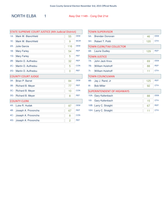#### NORTH ELBA 1 Assy Dist 114th - Cong Dist 21st

| STATE SUPREME COURT JUSTICE (4th Judicial District) |                           |     |            |  |
|-----------------------------------------------------|---------------------------|-----|------------|--|
| $1A$ :                                              | Mark W. Blanchfield       | 55  | <b>DEM</b> |  |
| 1E:                                                 | Mark W. Blanchfield       | 9   | <b>WOR</b> |  |
| $2A$ :                                              | <b>Julie Garcia</b>       | 116 | <b>DEM</b> |  |
| 1B:                                                 | <b>Mary Farley</b>        | 54  | <b>REP</b> |  |
| 1G:                                                 | <b>Mary Farley</b>        | 5   | <b>REF</b> |  |
| 2B:                                                 | Martin D. Auffredou       | 32  | <b>REP</b> |  |
| $2C$ :                                              | Martin D. Auffredou       | 5   | <b>CON</b> |  |
| $2G$ :                                              | Martin D. Auffredou       | 0   | <b>REF</b> |  |
|                                                     | <b>COUNTY COURT JUDGE</b> |     |            |  |
| $3A$ :                                              | <b>Brian P. Barret</b>    | 84  | <b>DEM</b> |  |
| 3B:                                                 | Richard B. Meyer          | 77  | <b>REP</b> |  |
| $3C$ :                                              | Richard B. Meyer          | 10  | <b>CON</b> |  |
| $3G$ :                                              | Richard B. Meyer          | 8   | <b>REF</b> |  |
|                                                     | <b>COUNTY CLERK</b>       |     |            |  |
| 4A:                                                 | Luke R. Hudak             | 87  | <b>DEM</b> |  |
| 4B:                                                 | Joseph A. Provoncha       | 67  | <b>REP</b> |  |
| $4C$ :                                              | Joseph A. Provoncha       | 8   | <b>CON</b> |  |
| 4G:                                                 | Joseph A. Provoncha       | 2   | <b>REF</b> |  |

| <b>TOWN SUPERVISOR</b> |                                   |     |            |
|------------------------|-----------------------------------|-----|------------|
| $5A$ :                 | Brendan Donovan                   | 46  | <b>DEM</b> |
| 5H:                    | Robert T. Politi                  | 120 | <b>OTH</b> |
|                        | <b>TOWN CLERK/TAX COLLECTOR</b>   |     |            |
| 6B:                    | <b>Laurie Dudley</b>              | 129 | <b>REP</b> |
|                        | <b>TOWN JUSTICE</b>               |     |            |
| $7A$ :                 | John Jack Knox                    | 69  | <b>DEM</b> |
| 7B:                    | <b>William Hulshoff</b>           | 88  | <b>REP</b> |
| 7!                     | <b>William Hulshoff</b>           | 11  | <b>OTH</b> |
|                        | <b>TOWN COUNCILMAN</b>            |     |            |
| 8B:                    | Jay J. Rand, Jr                   | 125 | <b>REP</b> |
| $8!$ :                 | <b>Bob Miller</b>                 | 92  | <b>OTH</b> |
|                        | <b>SUPERINTENDENT OF HIGHWAYS</b> |     |            |
| $10A$ :                | Gary Kaltenbach                   | 88  | <b>DEM</b> |
| 101:                   | Gary Kaltenbach                   | 15  | <b>OTH</b> |
| $10B$ :                | Larry C. Straight                 | 67  | <b>REP</b> |
| 10H:                   | Larry C. Straight                 | 11  | <b>OTH</b> |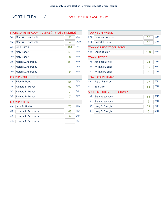### NORTH ELBA 2 Assy Dist 114th - Cong Dist 21st

| <b>STATE SUPREME COURT JUSTICE (4th Judicial District)</b> |                           |     |            |  |
|------------------------------------------------------------|---------------------------|-----|------------|--|
| $1A$ :                                                     | Mark W. Blanchfield       | 58  | <b>DEM</b> |  |
| 1E:                                                        | Mark W. Blanchfield       | 4   | <b>WOR</b> |  |
| $2A$ :                                                     | <b>Julie Garcia</b>       | 104 | <b>DEM</b> |  |
| 1B:                                                        | <b>Mary Farley</b>        | 56  | <b>REP</b> |  |
| $1G$ :                                                     | <b>Mary Farley</b>        | 6   | <b>REF</b> |  |
| 2B:                                                        | Martin D. Auffredou       | 36  | <b>REP</b> |  |
| $2C$ :                                                     | Martin D. Auffredou       | 4   | <b>CON</b> |  |
| $2G$ :                                                     | Martin D. Auffredou       | 0   | <b>REF</b> |  |
|                                                            | <b>COUNTY COURT JUDGE</b> |     |            |  |
| $3A$ :                                                     | <b>Brian P. Barret</b>    | 55  | <b>DEM</b> |  |
| 3B:                                                        | Richard B. Meyer          | 92  | <b>REP</b> |  |
| $3C$ :                                                     | Richard B. Meyer          | 3   | <b>CON</b> |  |
| $3G$ :                                                     | Richard B. Meyer          | 7   | <b>REF</b> |  |
|                                                            | <b>COUNTY CLERK</b>       |     |            |  |
| 4A:                                                        | Luke R. Hudak             | 70  | <b>DEM</b> |  |
| 4B:                                                        | Joseph A. Provoncha       | 68  | <b>REP</b> |  |
| $4C$ :                                                     | Joseph A. Provoncha       | 6   | <b>CON</b> |  |
| 4G:                                                        | Joseph A. Provoncha       | 1   | <b>REF</b> |  |

| <b>TOWN SUPERVISOR</b> |                                   |     |            |
|------------------------|-----------------------------------|-----|------------|
| 5A:                    | Brendan Donovan                   | 67  | <b>DEM</b> |
| 5H:                    | Robert T. Politi                  | 65  | <b>OTH</b> |
|                        | <b>TOWN CLERK/TAX COLLECTOR</b>   |     |            |
| 6B:                    | Laurie Dudley                     | 103 | <b>REP</b> |
|                        | <b>TOWN JUSTICE</b>               |     |            |
| $7A$ :                 | John Jack Knox                    | 74  | <b>DEM</b> |
| 7B:                    | <b>William Hulshoff</b>           | 59  | <b>REP</b> |
| 7!                     | <b>William Hulshoff</b>           | 4   | <b>OTH</b> |
|                        | <b>TOWN COUNCILMAN</b>            |     |            |
| 8B:                    | Jay J. Rand, Jr                   | 97  | <b>REP</b> |
| $8$ :                  | <b>Bob Miller</b>                 | 53  | <b>OTH</b> |
|                        | <b>SUPERINTENDENT OF HIGHWAYS</b> |     |            |
| $10A$ :                | <b>Gary Kaltenbach</b>            | 62  | <b>DEM</b> |
| $10$ :                 | Gary Kaltenbach                   | 6   | <b>OTH</b> |
| 10B:                   | Larry C. Straight                 | 72  | <b>REP</b> |
| 10H:                   | Larry C. Straight                 | 5   | <b>OTH</b> |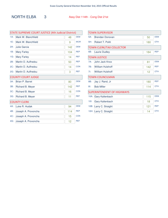### NORTH ELBA 3 Assy Dist 114th - Cong Dist 21st

| <b>STATE SUPREME COURT JUSTICE (4th Judicial District)</b> |                           |     |            |  |
|------------------------------------------------------------|---------------------------|-----|------------|--|
| $1A$ :                                                     | Mark W. Blanchfield       | 48  | <b>DEM</b> |  |
| $1E$ :                                                     | Mark W. Blanchfield       | 9   | <b>WOR</b> |  |
| $2A$ :                                                     | <b>Julie Garcia</b>       | 142 | <b>DEM</b> |  |
| 1B:                                                        | <b>Mary Farley</b>        | 104 | <b>REP</b> |  |
| 1G:                                                        | <b>Mary Farley</b>        | 14  | <b>REF</b> |  |
| 2B:                                                        | Martin D. Auffredou       | 50  | <b>REP</b> |  |
| $2C$ :                                                     | Martin D. Auffredou       | 14  | <b>CON</b> |  |
| $2G$ :                                                     | Martin D. Auffredou       | 3   | <b>REF</b> |  |
|                                                            | <b>COUNTY COURT JUDGE</b> |     |            |  |
| $3A$ :                                                     | Brian P. Barret           | 80  | <b>DEM</b> |  |
| 3B:                                                        | Richard B. Meyer          | 142 | <b>REP</b> |  |
| $3C$ :                                                     | Richard B. Meyer          | 16  | <b>CON</b> |  |
| $3G$ :                                                     | Richard B. Meyer          | 11  | <b>REF</b> |  |
|                                                            | <b>COUNTY CLERK</b>       |     |            |  |
| 4A:                                                        | Luke R. Hudak             | 94  | <b>DEM</b> |  |
| 4B:                                                        | Joseph A. Provoncha       | 114 | <b>REP</b> |  |
| 4C:                                                        | Joseph A. Provoncha       | 15  | <b>CON</b> |  |
| 4G:                                                        | Joseph A. Provoncha       | 12  | <b>REF</b> |  |

| <b>TOWN SUPERVISOR</b> |                                   |     |            |
|------------------------|-----------------------------------|-----|------------|
| $5A$ :                 | Brendan Donovan                   | 50  | <b>DEM</b> |
| 5H:                    | Robert T. Politi                  | 180 | <b>OTH</b> |
|                        | <b>TOWN CLERK/TAX COLLECTOR</b>   |     |            |
| 6B:                    | <b>Laurie Dudley</b>              | 184 | <b>REP</b> |
|                        | <b>TOWN JUSTICE</b>               |     |            |
| $7A$ :                 | John Jack Knox                    | 81  | <b>DEM</b> |
| 7B:                    | <b>William Hulshoff</b>           | 142 | <b>REP</b> |
| 7!                     | <b>William Hulshoff</b>           | 12  | <b>OTH</b> |
|                        | <b>TOWN COUNCILMAN</b>            |     |            |
| 8B:                    | Jay J. Rand, Jr                   | 180 | <b>REP</b> |
| $8$ :                  | <b>Bob Miller</b>                 | 114 | <b>OTH</b> |
|                        | <b>SUPERINTENDENT OF HIGHWAYS</b> |     |            |
| $10A$ :                | <b>Gary Kaltenbach</b>            | 115 | <b>DEM</b> |
| $10$ :                 | Gary Kaltenbach                   | 18  | <b>OTH</b> |
| 10B:                   | Larry C. Straight                 | 121 | <b>REP</b> |
| 10H:                   | Larry C. Straight                 | 14  | <b>OTH</b> |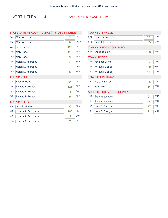### NORTH ELBA 4 Assy Dist 114th - Cong Dist 21st

| <b>STATE SUPREME COURT JUSTICE (4th Judicial District)</b> |                           |     |            |  |
|------------------------------------------------------------|---------------------------|-----|------------|--|
| $1A$ :                                                     | Mark W. Blanchfield       | 58  | <b>DEM</b> |  |
| 1E:                                                        | Mark W. Blanchfield       | 6   | <b>WOR</b> |  |
| $2A$ :                                                     | <b>Julie Garcia</b>       | 128 | <b>DEM</b> |  |
| 1B:                                                        | <b>Mary Farley</b>        | 115 | <b>REP</b> |  |
| $1G$ :                                                     | <b>Mary Farley</b>        | 9   | <b>REF</b> |  |
| 2B:                                                        | Martin D. Auffredou       | 69  | <b>REP</b> |  |
| $2C$ :                                                     | Martin D. Auffredou       | 13  | <b>CON</b> |  |
| $2G$ :                                                     | Martin D. Auffredou       | 5   | <b>REF</b> |  |
|                                                            | <b>COUNTY COURT JUDGE</b> |     |            |  |
| $3A$ :                                                     | Brian P. Barret           | 94  | <b>DEM</b> |  |
| 3B:                                                        | Richard B. Meyer          | 126 | <b>REP</b> |  |
| $3C$ :                                                     | Richard B. Meyer          | 15  | <b>CON</b> |  |
| $3G$ :                                                     | Richard B. Meyer          | 9   | <b>REF</b> |  |
|                                                            | <b>COUNTY CLERK</b>       |     |            |  |
| 4A:                                                        | Luke R. Hudak             | 95  | <b>DEM</b> |  |
| 4B:                                                        | Joseph A. Provoncha       | 106 | <b>REP</b> |  |
| 4C:                                                        | Joseph A. Provoncha       | 12  | <b>CON</b> |  |
| 4G:                                                        | Joseph A. Provoncha       | 7   | <b>REF</b> |  |

| <b>TOWN SUPERVISOR</b> |                                   |     |            |
|------------------------|-----------------------------------|-----|------------|
| $5A$ :                 | <b>Brendan Donovan</b>            | 60  | <b>DEM</b> |
| 5H:                    | Robert T. Politi                  | 169 | <b>OTH</b> |
|                        | <b>TOWN CLERK/TAX COLLECTOR</b>   |     |            |
| 6B:                    | <b>Laurie Dudley</b>              | 193 | <b>REP</b> |
|                        | <b>TOWN JUSTICE</b>               |     |            |
| $7A$ :                 | John Jack Knox                    | 89  | <b>DEM</b> |
| 7B:                    | <b>William Hulshoff</b>           | 129 | <b>REP</b> |
| 7!                     | <b>William Hulshoff</b>           | 13  | <b>OTH</b> |
|                        | <b>TOWN COUNCILMAN</b>            |     |            |
| 8B:                    | Jay J. Rand, Jr                   | 186 | <b>REP</b> |
| $8$ :                  | <b>Bob Miller</b>                 | 116 | <b>OTH</b> |
|                        | <b>SUPERINTENDENT OF HIGHWAYS</b> |     |            |
| 10A:                   | <b>Gary Kaltenbach</b>            | 104 | <b>DEM</b> |
| $10$ :                 | Gary Kaltenbach                   | 12  | <b>OTH</b> |
| 10B:                   | Larry C. Straight                 | 117 | <b>REP</b> |
|                        | 10H: Larry C. Straight            | 9   | <b>OTH</b> |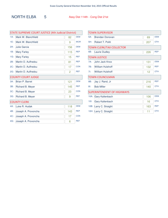### NORTH ELBA 5 Assy Dist 114th - Cong Dist 21st

 $\mathsf{r}$ 

| <b>STATE SUPREME COURT JUSTICE (4th Judicial District)</b> |                           |     |            |  |
|------------------------------------------------------------|---------------------------|-----|------------|--|
| $1A$ :                                                     | Mark W. Blanchfield       | 82  | <b>DEM</b> |  |
| $1E$ :                                                     | Mark W. Blanchfield       | 9   | <b>WOR</b> |  |
| $2A$ :                                                     | Julie Garcia              | 156 | <b>DEM</b> |  |
| 1B:                                                        | <b>Mary Farley</b>        | 115 | <b>REP</b> |  |
| $1G$ :                                                     | <b>Mary Farley</b>        | 15  | <b>REF</b> |  |
| 2B:                                                        | Martin D. Auffredou       | 81  | <b>REP</b> |  |
| $2C$ :                                                     | Martin D. Auffredou       | 17  | <b>CON</b> |  |
| $2G$ :                                                     | Martin D. Auffredou       | 2   | <b>REF</b> |  |
|                                                            | <b>COUNTY COURT JUDGE</b> |     |            |  |
| $3A$ :                                                     | Brian P. Barret           | 121 | <b>DEM</b> |  |
| 3B:                                                        | Richard B. Meyer          | 145 | <b>REP</b> |  |
| $3C$ :                                                     | Richard B. Meyer          | 23  | <b>CON</b> |  |
| $3G$ :                                                     | Richard B. Meyer          | 9   | <b>REF</b> |  |
|                                                            | <b>COUNTY CLERK</b>       |     |            |  |
| 4A:                                                        | Luke R. Hudak             | 118 | <b>DEM</b> |  |
| 4B:                                                        | Joseph A. Provoncha       | 143 | <b>REP</b> |  |
| $4C$ :                                                     | Joseph A. Provoncha       | 17  | <b>CON</b> |  |
| 4G:                                                        | Joseph A. Provoncha       | 6   | <b>REF</b> |  |

| <b>TOWN SUPERVISOR</b> |                                   |     |            |
|------------------------|-----------------------------------|-----|------------|
| 5A:                    | <b>Brendan Donovan</b>            | 69  | <b>DEM</b> |
| 5H:                    | Robert T. Politi                  | 207 | <b>OTH</b> |
|                        | <b>TOWN CLERK/TAX COLLECTOR</b>   |     |            |
| 6B:                    | <b>Laurie Dudley</b>              | 226 | <b>REP</b> |
|                        | <b>TOWN JUSTICE</b>               |     |            |
| $7A$ :                 | John Jack Knox                    | 131 | <b>DEM</b> |
| 7B:                    | <b>William Hulshoff</b>           | 132 | <b>REP</b> |
| 7!                     | <b>William Hulshoff</b>           | 12  | <b>OTH</b> |
|                        | <b>TOWN COUNCILMAN</b>            |     |            |
| 8B:                    | Jay J. Rand, Jr                   | 216 | <b>REP</b> |
| $8$ :                  | <b>Bob Miller</b>                 | 140 | <b>OTH</b> |
|                        | <b>SUPERINTENDENT OF HIGHWAYS</b> |     |            |
| 10A:                   | Gary Kaltenbach                   | 106 | <b>DEM</b> |
| $10$ :                 | Gary Kaltenbach                   | 16  | <b>OTH</b> |
| 10B:                   | Larry C. Straight                 | 163 | <b>REP</b> |
| 10H:                   | Larry C. Straight                 | 11  | <b>OTH</b> |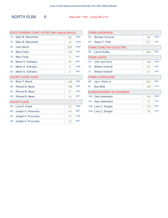### NORTH ELBA 6 Assy Dist 114th - Cong Dist 21st

| STATE SUPREME COURT JUSTICE (4th Judicial District) |                        |     |            |  |
|-----------------------------------------------------|------------------------|-----|------------|--|
| $1A$ :                                              | Mark W. Blanchfield    | 96  | <b>DEM</b> |  |
| $1E$ :                                              | Mark W. Blanchfield    | 13  | <b>WOR</b> |  |
| $2A$ :                                              | <b>Julie Garcia</b>    | 202 | <b>DEM</b> |  |
| 1B:                                                 | <b>Mary Farley</b>     | 125 | <b>REP</b> |  |
| 1G:                                                 | <b>Mary Farley</b>     | 11  | <b>REF</b> |  |
| 2B:                                                 | Martin D. Auffredou    | 73  | <b>REP</b> |  |
| $2C$ :                                              | Martin D. Auffredou    | 9   | <b>CON</b> |  |
| $2G$ :                                              | Martin D. Auffredou    | 5   | <b>REF</b> |  |
| <b>COUNTY COURT JUDGE</b>                           |                        |     |            |  |
| $3A$ :                                              | <b>Brian P. Barret</b> | 148 | <b>DEM</b> |  |
| 3B:                                                 | Richard B. Meyer       | 166 | <b>REP</b> |  |
| $3C$ :                                              | Richard B. Meyer       | 17  | <b>CON</b> |  |
| $3G$ :                                              | Richard B. Meyer       | 10  | <b>REF</b> |  |
|                                                     | <b>COUNTY CLERK</b>    |     |            |  |
| 4A:                                                 | Luke R. Hudak          | 141 | <b>DEM</b> |  |
| 4B:                                                 | Joseph A. Provoncha    | 141 | <b>REP</b> |  |
| 4C:                                                 | Joseph A. Provoncha    | 12  | <b>CON</b> |  |
| 4G:                                                 | Joseph A. Provoncha    | 10  | <b>REF</b> |  |

| <b>TOWN SUPERVISOR</b> |                                   |     |            |  |
|------------------------|-----------------------------------|-----|------------|--|
| $5A$ :                 | Brendan Donovan                   | 99  | <b>DEM</b> |  |
| 5H:                    | Robert T. Politi                  | 217 | <b>OTH</b> |  |
|                        | <b>TOWN CLERK/TAX COLLECTOR</b>   |     |            |  |
| 6B:                    | <b>Laurie Dudley</b>              | 246 | <b>REP</b> |  |
|                        | <b>TOWN JUSTICE</b>               |     |            |  |
| $7A$ :                 | John Jack Knox                    | 138 | <b>DEM</b> |  |
| 7B:                    | <b>William Hulshoff</b>           | 161 | <b>REP</b> |  |
| 7!                     | <b>William Hulshoff</b>           | 13  | <b>OTH</b> |  |
|                        | <b>TOWN COUNCILMAN</b>            |     |            |  |
| 8B:                    | Jay J. Rand, Jr                   | 254 | <b>REP</b> |  |
| $8$ :                  | <b>Bob Miller</b>                 | 143 | <b>OTH</b> |  |
|                        | <b>SUPERINTENDENT OF HIGHWAYS</b> |     |            |  |
| $10A$ :                | <b>Gary Kaltenbach</b>            | 142 | <b>DEM</b> |  |
| $10$ :                 | Gary Kaltenbach                   | 17  | <b>OTH</b> |  |
| 10B:                   | Larry C. Straight                 | 170 | <b>REP</b> |  |
| 10H:                   | Larry C. Straight                 | 18  | <b>OTH</b> |  |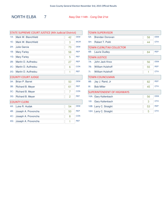### NORTH ELBA 7 Assy Dist 114th - Cong Dist 21st

| <b>DEM</b><br><b>WOR</b><br><b>DEM</b><br><b>REP</b><br><b>REF</b> |  |  |  |  |
|--------------------------------------------------------------------|--|--|--|--|
|                                                                    |  |  |  |  |
|                                                                    |  |  |  |  |
|                                                                    |  |  |  |  |
|                                                                    |  |  |  |  |
|                                                                    |  |  |  |  |
| <b>REP</b>                                                         |  |  |  |  |
| <b>CON</b>                                                         |  |  |  |  |
| <b>REF</b>                                                         |  |  |  |  |
| <b>COUNTY COURT JUDGE</b>                                          |  |  |  |  |
| <b>DEM</b>                                                         |  |  |  |  |
| <b>REP</b>                                                         |  |  |  |  |
| <b>CON</b>                                                         |  |  |  |  |
| <b>REF</b>                                                         |  |  |  |  |
|                                                                    |  |  |  |  |
|                                                                    |  |  |  |  |
| <b>DEM</b>                                                         |  |  |  |  |
| <b>REP</b>                                                         |  |  |  |  |
| <b>CON</b>                                                         |  |  |  |  |
|                                                                    |  |  |  |  |

| <b>TOWN SUPERVISOR</b> |                                   |    |            |  |  |
|------------------------|-----------------------------------|----|------------|--|--|
| $5A$ :                 | Brendan Donovan                   | 58 | <b>DEM</b> |  |  |
| 5H:                    | Robert T. Politi                  | 44 | <b>OTH</b> |  |  |
|                        | <b>TOWN CLERK/TAX COLLECTOR</b>   |    |            |  |  |
| 6B:                    | <b>Laurie Dudley</b>              | 84 | <b>REP</b> |  |  |
|                        | <b>TOWN JUSTICE</b>               |    |            |  |  |
| $7A$ :                 | John Jack Knox                    | 56 | <b>DEM</b> |  |  |
| 7B:                    | <b>William Hulshoff</b>           | 55 | <b>REP</b> |  |  |
| 7!                     | <b>William Hulshoff</b>           | 1  | <b>OTH</b> |  |  |
|                        | <b>TOWN COUNCILMAN</b>            |    |            |  |  |
| 8B:                    | Jay J. Rand, Jr                   | 82 | <b>REP</b> |  |  |
| $8$ :                  | <b>Bob Miller</b>                 | 45 | <b>OTH</b> |  |  |
|                        | <b>SUPERINTENDENT OF HIGHWAYS</b> |    |            |  |  |
| $10A$ :                | <b>Gary Kaltenbach</b>            | 56 | <b>DEM</b> |  |  |
| $10$ :                 | Gary Kaltenbach                   | 3  | <b>OTH</b> |  |  |
| 10B:                   | Larry C. Straight                 | 53 | <b>REP</b> |  |  |
|                        | 10H: Larry C. Straight            | 5  | <b>OTH</b> |  |  |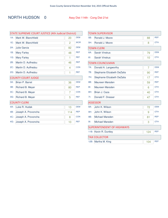### NORTH HUDSON 0 Assy Dist 114th - Cong Dist 21st

| <b>STATE SUPREME COURT JUSTICE (4th Judicial District)</b> |                     |     |            |  |  |
|------------------------------------------------------------|---------------------|-----|------------|--|--|
| $1A$ :                                                     | Mark W. Blanchfield | 20  | <b>DEM</b> |  |  |
| 1E:                                                        | Mark W. Blanchfield | 2   | <b>WOR</b> |  |  |
| $2A$ :                                                     | Julie Garcia        | 82  | <b>DEM</b> |  |  |
| 1B:                                                        | <b>Mary Farley</b>  | 48  | <b>REP</b> |  |  |
| $1G$ :                                                     | <b>Mary Farley</b>  | 1   | <b>REF</b> |  |  |
| 2B:                                                        | Martin D. Auffredou | 46  | <b>REP</b> |  |  |
| 2C:                                                        | Martin D. Auffredou | 4   | <b>CON</b> |  |  |
| $2G$ :                                                     | Martin D. Auffredou | 1   | <b>REF</b> |  |  |
| <b>COUNTY COURT JUDGE</b>                                  |                     |     |            |  |  |
| $3A$ :                                                     | Brian P. Barret     | 36  | <b>DEM</b> |  |  |
| 3B:                                                        | Richard B. Meyer    | 80  | <b>REP</b> |  |  |
| $3C$ :                                                     | Richard B. Meyer    | 7   | <b>CON</b> |  |  |
| $3G$ :                                                     | Richard B. Meyer    | 5   | <b>REF</b> |  |  |
|                                                            | <b>COUNTY CLERK</b> |     |            |  |  |
| 4A:                                                        | Luke R. Hudak       | 13  | <b>DEM</b> |  |  |
| 4B:                                                        | Joseph A. Provoncha | 114 | <b>REP</b> |  |  |
| $4C$ :                                                     | Joseph A. Provoncha | 8   | <b>CON</b> |  |  |
| 4G:                                                        | Joseph A. Provoncha | 10  | <b>REF</b> |  |  |

| <b>TOWN SUPERVISOR</b>            |                             |     |            |  |
|-----------------------------------|-----------------------------|-----|------------|--|
| 5B:                               | Ronald J. Moore             | 88  | <b>REP</b> |  |
| 5H:                               | Ronald J. Moore             | 8   | <b>OTH</b> |  |
|                                   | <b>TOWN CLERK</b>           |     |            |  |
| 6A:                               | <b>Sarah Vinskus</b>        | 79  | <b>DEM</b> |  |
| 6!                                | <b>Sarah Vinskus</b>        | 10  | <b>OTH</b> |  |
|                                   | <b>TOWN COUNCILMAN</b>      |     |            |  |
| $7A$ :                            | Donald A. Langworthy        | 7   | <b>DEM</b> |  |
| 7B:                               | Stephanie Elizabeth DeZalia | 90  | <b>REP</b> |  |
| 7H:                               | Stephanie Elizabeth DeZalia | 17  | <b>OTH</b> |  |
| 8B:                               | Maureen Marsden             | 59  | <b>REP</b> |  |
| 81:                               | Maureen Marsden             | 6   | <b>OTH</b> |  |
| 8H:                               | Brian J. Caza               | 40  | <b>OTH</b> |  |
| 7!                                | Donald F. Dresser           | 47  | <b>OTH</b> |  |
|                                   | <b>ASSESSOR</b>             |     |            |  |
| 9A:                               | John K. Wilson              | 72  | <b>DEM</b> |  |
| 9H:                               | John K. Wilson              | 9   | <b>OTH</b> |  |
| 9B:                               | <b>Michael Marsden</b>      | 81  | <b>REP</b> |  |
| $9$ :                             | <b>Michael Marsden</b>      | 3   | <b>OTH</b> |  |
| <b>SUPERINTENDENT OF HIGHWAYS</b> |                             |     |            |  |
| 11B:                              | Kevin R. Duntley            | 124 | <b>REP</b> |  |
|                                   | <b>TAX COLLECTOR</b>        |     |            |  |
| 12B:                              | Martha M. King              | 104 | <b>REP</b> |  |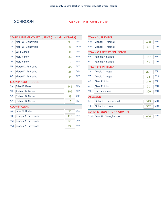### SCHROON Assy Dist 114th - Cong Dist 21st

| STATE SUPREME COURT JUSTICE (4th Judicial District) |                           |     |            |  |
|-----------------------------------------------------|---------------------------|-----|------------|--|
| $1A$ :                                              | Mark W. Blanchfield       | 96  | <b>DEM</b> |  |
| 1E:                                                 | Mark W. Blanchfield       | 3   | <b>WOR</b> |  |
| $2A$ :                                              | <b>Julie Garcia</b>       | 305 | <b>DEM</b> |  |
| 1B:                                                 | <b>Mary Farley</b>        | 252 | <b>REP</b> |  |
| 1G:                                                 | <b>Mary Farley</b>        | 10  | <b>REF</b> |  |
| 2B:                                                 | Martin D. Auffredou       | 209 | <b>REP</b> |  |
| $2C$ :                                              | Martin D. Auffredou       | 35  | <b>CON</b> |  |
| $2G$ :                                              | Martin D. Auffredou       | 9   | <b>REF</b> |  |
|                                                     | <b>COUNTY COURT JUDGE</b> |     |            |  |
| $3A$ :                                              | Brian P. Barret           | 146 | <b>DEM</b> |  |
| 3B:                                                 | Richard B. Meyer          | 306 | <b>REP</b> |  |
| $3C$ :                                              | Richard B. Meyer          | 39  | <b>CON</b> |  |
| $3G$ :                                              | Richard B. Meyer          | 16  | <b>REF</b> |  |
|                                                     | <b>COUNTY CLERK</b>       |     |            |  |
| 4A:                                                 | Luke R. Hudak             | 50  | <b>DEM</b> |  |
| 4B:                                                 | Joseph A. Provoncha       | 415 | <b>REP</b> |  |
| 4C:                                                 | Joseph A. Provoncha       | 58  | <b>CON</b> |  |
| 4G:                                                 | Joseph A. Provoncha       | 24  | <b>REF</b> |  |

| <b>TOWN SUPERVISOR</b> |                                   |     |            |  |  |
|------------------------|-----------------------------------|-----|------------|--|--|
| 5B:                    | Michael R. Marnell                | 426 | <b>REP</b> |  |  |
| 5H:                    | Michael R. Marnell                | 42  | <b>OTH</b> |  |  |
|                        | <b>TOWN CLERK/TAX COLLECTOR</b>   |     |            |  |  |
| 6B:                    | Patricia J. Savarie               | 457 | <b>REP</b> |  |  |
| 6!                     | Patricia J. Savarie               | 42  | <b>OTH</b> |  |  |
|                        | <b>TOWN COUNCILMAN</b>            |     |            |  |  |
| 7B:                    | Donald C. Sage                    | 297 | <b>REP</b> |  |  |
| 7C:                    | Donald C. Sage                    | 35  | <b>CON</b> |  |  |
| 8B:                    | <b>Clara Phibbs</b>               | 340 | <b>REP</b> |  |  |
| $8$ :                  | Clara Phibbs                      | 30  | <b>OTH</b> |  |  |
| 7J:                    | <b>Marcia Hartnett</b>            | 259 | <b>OTH</b> |  |  |
|                        | <b>ASSESSOR</b>                   |     |            |  |  |
| 9!                     | Richard S. Schoenstadt            | 315 | <b>OTH</b> |  |  |
| $10$ :                 | <b>Richard V. Newell</b>          | 302 | <b>OTH</b> |  |  |
|                        | <b>SUPERINTENDENT OF HIGHWAYS</b> |     |            |  |  |
|                        | 11B: Dana W. Shaughnessy          | 464 | <b>REP</b> |  |  |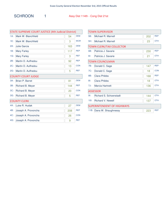| <b>STATE SUPREME COURT JUSTICE (4th Judicial District)</b> |                           |     |            |  |  |
|------------------------------------------------------------|---------------------------|-----|------------|--|--|
| $1A$ :                                                     | Mark W. Blanchfield       | 54  | <b>DEM</b> |  |  |
| 1E:                                                        | Mark W. Blanchfield       | 3   | <b>WOR</b> |  |  |
| $2A$ :                                                     | <b>Julie Garcia</b>       | 163 | <b>DEM</b> |  |  |
| 1B:                                                        | <b>Mary Farley</b>        | 117 | <b>REP</b> |  |  |
| $1G$ :                                                     | <b>Mary Farley</b>        | 3   | <b>REF</b> |  |  |
| 2B:                                                        | Martin D. Auffredou       | 92  | <b>REP</b> |  |  |
| $2C$ :                                                     | Martin D. Auffredou       | 13  | <b>CON</b> |  |  |
| $2G$ :                                                     | Martin D. Auffredou       | 5   | <b>REF</b> |  |  |
|                                                            | <b>COUNTY COURT JUDGE</b> |     |            |  |  |
| $3A$ :                                                     | Brian P. Barret           | 81  | <b>DEM</b> |  |  |
| 3B:                                                        | Richard B. Meyer          | 144 | <b>REP</b> |  |  |
| $3C$ :                                                     | Richard B. Meyer          | 20  | <b>CON</b> |  |  |
| $3G$ :                                                     | Richard B. Meyer          | 5   | <b>REF</b> |  |  |
|                                                            | <b>COUNTY CLERK</b>       |     |            |  |  |
| 4A:                                                        | Luke R. Hudak             | 27  | <b>DEM</b> |  |  |
| 4B:                                                        | Joseph A. Provoncha       | 208 | <b>REP</b> |  |  |
| 4C:                                                        | Joseph A. Provoncha       | 26  | <b>CON</b> |  |  |
| 4G:                                                        | Joseph A. Provoncha       | 9   | <b>REF</b> |  |  |

| <b>TOWN SUPERVISOR</b> |                                   |     |            |  |  |
|------------------------|-----------------------------------|-----|------------|--|--|
| 5B:                    | Michael R. Marnell                | 202 | <b>REP</b> |  |  |
| 5H:                    | Michael R. Marnell                | 23  | <b>OTH</b> |  |  |
|                        | <b>TOWN CLERK/TAX COLLECTOR</b>   |     |            |  |  |
| 6B:                    | Patricia J. Savarie               | 230 | <b>REP</b> |  |  |
| 6!                     | Patricia J. Savarie               | 21  | <b>OTH</b> |  |  |
|                        | <b>TOWN COUNCILMAN</b>            |     |            |  |  |
| 7B:                    | Donald C. Sage                    | 147 | <b>REP</b> |  |  |
| 7C:                    | Donald C. Sage                    | 18  | <b>CON</b> |  |  |
| 8B:                    | Clara Phibbs                      | 168 | <b>REP</b> |  |  |
| $8$ :                  | Clara Phibbs                      | 18  | <b>OTH</b> |  |  |
| 7J:                    | <b>Marcia Hartnett</b>            | 136 | <b>OTH</b> |  |  |
|                        | <b>ASSESSOR</b>                   |     |            |  |  |
| 9!                     | Richard S. Schoenstadt            | 144 | <b>OTH</b> |  |  |
| $10$ :                 | <b>Richard V. Newell</b>          | 137 | <b>OTH</b> |  |  |
|                        | <b>SUPERINTENDENT OF HIGHWAYS</b> |     |            |  |  |
| 11B:                   | Dana W. Shaughnessy               | 223 | <b>REP</b> |  |  |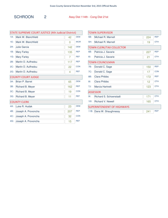SCHROON 2 Assy Dist 114th - Cong Dist 21st

| <b>STATE SUPREME COURT JUSTICE (4th Judicial District)</b> |                           |     |            |  |  |
|------------------------------------------------------------|---------------------------|-----|------------|--|--|
| $1A$ :                                                     | Mark W. Blanchfield       | 42  | <b>DEM</b> |  |  |
| $1E$ :                                                     | Mark W. Blanchfield       | 0   | <b>WOR</b> |  |  |
| $2A$ :                                                     | Julie Garcia              | 142 | <b>DEM</b> |  |  |
| 1B:                                                        | <b>Mary Farley</b>        | 135 | <b>REP</b> |  |  |
| $1G$ :                                                     | <b>Mary Farley</b>        | 7   | <b>REF</b> |  |  |
| 2B:                                                        | Martin D. Auffredou       | 117 | <b>REP</b> |  |  |
| $2C$ :                                                     | Martin D. Auffredou       | 22  | <b>CON</b> |  |  |
| $2G$ :                                                     | Martin D. Auffredou       | 4   | <b>REF</b> |  |  |
|                                                            | <b>COUNTY COURT JUDGE</b> |     |            |  |  |
| $3A$ :                                                     | <b>Brian P. Barret</b>    | 65  | <b>DEM</b> |  |  |
| 3B:                                                        | Richard B. Meyer          | 162 | <b>REP</b> |  |  |
| $3C$ :                                                     | Richard B. Meyer          | 19  | <b>CON</b> |  |  |
| 3G <sub>i</sub>                                            | Richard B. Meyer          | 11  | <b>REF</b> |  |  |
|                                                            | <b>COUNTY CLERK</b>       |     |            |  |  |
| 4A:                                                        | Luke R. Hudak             | 23  | <b>DEM</b> |  |  |
| 4B:                                                        | Joseph A. Provoncha       | 207 | <b>REP</b> |  |  |
| $4C$ :                                                     | Joseph A. Provoncha       | 32  | <b>CON</b> |  |  |
| 4G:                                                        | Joseph A. Provoncha       | 15  | <b>REF</b> |  |  |

| TOWN SUPERVISOR |                                   |     |            |  |  |
|-----------------|-----------------------------------|-----|------------|--|--|
| 5B:             | Michael R. Marnell                | 224 | <b>REP</b> |  |  |
| 5H:             | Michael R. Marnell                | 19  | <b>OTH</b> |  |  |
|                 | <b>TOWN CLERK/TAX COLLECTOR</b>   |     |            |  |  |
| 6B:             | Patricia J. Savarie               | 227 | <b>REP</b> |  |  |
| 6!              | Patricia J. Savarie               | 21  | <b>OTH</b> |  |  |
|                 | <b>TOWN COUNCILMAN</b>            |     |            |  |  |
| 7B:             | Donald C. Sage                    | 150 | <b>REP</b> |  |  |
| 7C:             | Donald C. Sage                    | 17  | <b>CON</b> |  |  |
| 8B:             | <b>Clara Phibbs</b>               | 172 | <b>REP</b> |  |  |
| $8$ :           | Clara Phibbs                      | 12  | <b>OTH</b> |  |  |
| 7J:             | <b>Marcia Hartnett</b>            | 123 | <b>OTH</b> |  |  |
|                 | <b>ASSESSOR</b>                   |     |            |  |  |
| $9$ :           | <b>Richard S. Schoenstadt</b>     | 171 | <b>OTH</b> |  |  |
| $10$ :          | <b>Richard V. Newell</b>          | 165 | <b>OTH</b> |  |  |
|                 | <b>SUPERINTENDENT OF HIGHWAYS</b> |     |            |  |  |
|                 | 11B: Dana W. Shaughnessy          | 241 | <b>REP</b> |  |  |
|                 |                                   |     |            |  |  |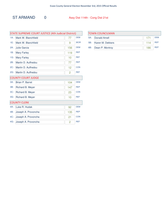ST ARMAND 0 Assy Dist 114th - Cong Dist 21st

| STATE SUPREME COURT JUSTICE (4th Judicial District) |                           |     |            |
|-----------------------------------------------------|---------------------------|-----|------------|
| $1A$ :                                              | Mark W. Blanchfield       | 77  | <b>DEM</b> |
| 1E:                                                 | Mark W. Blanchfield       | 9   | <b>WOR</b> |
| $2A$ :                                              | <b>Julie Garcia</b>       | 156 | <b>DEM</b> |
| 1B:                                                 | <b>Mary Farley</b>        | 119 | <b>REP</b> |
| 1G:                                                 | <b>Mary Farley</b>        | 10  | <b>REF</b> |
| 2B:                                                 | Martin D. Auffredou       | 77  | <b>REP</b> |
| $2C$ :                                              | Martin D. Auffredou       | 12  | <b>CON</b> |
| $2G$ :                                              | Martin D. Auffredou       | 2   | <b>REF</b> |
|                                                     | <b>COUNTY COURT JUDGE</b> |     |            |
| $3A$ :                                              | Brian P. Barret           | 104 | <b>DEM</b> |
| 3B:                                                 | Richard B. Meyer          | 147 | <b>REP</b> |
| $3C$ :                                              | Richard B. Meyer          | 23  | <b>CON</b> |
| $3G$ :                                              | Richard B. Meyer          | 10  | <b>REF</b> |
|                                                     | <b>COUNTY CLERK</b>       |     |            |
| 4A:                                                 | Luke R. Hudak             | 92  | <b>DEM</b> |
| 4B:                                                 | Joseph A. Provoncha       | 135 | <b>REP</b> |
| 4C:                                                 | Joseph A. Provoncha       | 21  | <b>CON</b> |
| 4G:                                                 | Joseph A. Provoncha       | 2   | <b>REF</b> |

| <b>TOWN COUNCILMAN</b> |                  |     |            |
|------------------------|------------------|-----|------------|
|                        | 5A: Donald Amell |     | <b>DEM</b> |
| 5B:                    | Karen M. Dekkers | 114 | <b>REP</b> |
| 6B:                    | Dean P. Montroy  | 186 | <b>RFP</b> |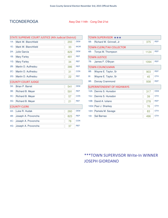#### TICONDEROGA Assy Dist 114th - Cong Dist 21st

| STATE SUPREME COURT JUSTICE (4th Judicial District) |                        |     |            |  |
|-----------------------------------------------------|------------------------|-----|------------|--|
| $1A$ :                                              | Mark W. Blanchfield    | 293 | <b>DEM</b> |  |
| 1E:                                                 | Mark W. Blanchfield    | 33  | <b>WOR</b> |  |
| $2A$ :                                              | <b>Julie Garcia</b>    | 829 | <b>DEM</b> |  |
| 1B:                                                 | <b>Mary Farley</b>     | 481 | <b>REP</b> |  |
| 1G:                                                 | <b>Mary Farley</b>     | 34  | <b>REF</b> |  |
| 2B:                                                 | Martin D. Auffredou    | 386 | <b>REP</b> |  |
| $2C$ :                                              | Martin D. Auffredou    | 31  | <b>CON</b> |  |
| $2G$ :                                              | Martin D. Auffredou    | 22  | <b>REF</b> |  |
| <b>COUNTY COURT JUDGE</b>                           |                        |     |            |  |
| $3A$ :                                              | <b>Brian P. Barret</b> | 541 | <b>DEM</b> |  |
| 3B:                                                 | Richard B. Meyer       | 591 | <b>REP</b> |  |
| $3C$ :                                              | Richard B. Meyer       | 57  | <b>CON</b> |  |
| $3G$ :                                              | Richard B. Meyer       | 21  | <b>REF</b> |  |
|                                                     | <b>COUNTY CLERK</b>    |     |            |  |
| 4A:                                                 | Luke R. Hudak          | 260 | <b>DEM</b> |  |
| 4B:                                                 | Joseph A. Provoncha    | 823 | <b>REP</b> |  |
| 4C:                                                 | Joseph A. Provoncha    | 78  | <b>CON</b> |  |
| 4G:                                                 | Joseph A. Provoncha    | 37  | <b>REF</b> |  |

| TOWN SUPERVISOR *** |                                   |      |            |
|---------------------|-----------------------------------|------|------------|
| 5B:                 | Richard W. Grinnell, Jr           | 375  | <b>REP</b> |
|                     | <b>TOWN CLERK/TAX COLLECTOR</b>   |      |            |
| 6B:                 | Tonya M. Thompson                 | 1124 | <b>REP</b> |
|                     | <b>TOWN JUSTICE</b>               |      |            |
| 7B:                 | James F. O'Bryan                  | 1094 | <b>REP</b> |
|                     | <b>TOWN COUNCILMAN</b>            |      |            |
| 8B:                 | Wayne E. Taylor, Sr               | 903  | <b>REP</b> |
| 8!                  | Wayne E. Taylor, Sr               | 45   | <b>OTH</b> |
| 9B:                 | Dorcey Crammond                   | 938  | <b>REP</b> |
|                     | <b>SUPERINTENDENT OF HIGHWAYS</b> |      |            |
| $10A$ :             | Dennis S. Hunsdon                 | 317  | <b>DEM</b> |
| $10J$ :             | Dennis S. Hunsdon                 | 39   | <b>OTH</b> |
| $10B$ :             | David A. Iuliano                  | 278  | <b>REP</b> |
|                     | 10GI: Paul J. Sharkey             | 76   | <b>OTH</b> |
|                     | 10H: Pamela M. Savage             | 83   | <b>OTH</b> |
| $10$ :              | Sal Barnao                        | 496  | <b>OTH</b> |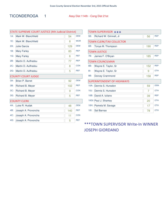### TICONDEROGA 1 Assy Dist 114th - Cong Dist 21st

| STATE SUPREME COURT JUSTICE (4th Judicial District) |                           |     |            |
|-----------------------------------------------------|---------------------------|-----|------------|
| $1A$ :                                              | Mark W. Blanchfield       | 54  | <b>DEM</b> |
| 1E:                                                 | Mark W. Blanchfield       | 8   | <b>WOR</b> |
| $2A$ :                                              | <b>Julie Garcia</b>       | 129 | <b>DEM</b> |
| 1B:                                                 | <b>Mary Farley</b>        | 83  | <b>REP</b> |
| $1G$ :                                              | <b>Mary Farley</b>        | 6   | <b>REF</b> |
| 2B:                                                 | Martin D. Auffredou       | 77  | <b>REP</b> |
| $2C$ :                                              | Martin D. Auffredou       | 8   | <b>CON</b> |
| $2G$ :                                              | Martin D. Auffredou       | 5   | <b>REF</b> |
|                                                     | <b>COUNTY COURT JUDGE</b> |     |            |
| $3A$ :                                              | <b>Brian P. Barret</b>    | 92  | <b>DEM</b> |
| 3B:                                                 | Richard B. Meyer          | 102 | <b>REP</b> |
| $3C$ :                                              | Richard B. Meyer          | 9   | <b>CON</b> |
| $3G$ :                                              | Richard B. Meyer          | 5   | <b>REF</b> |
|                                                     | <b>COUNTY CLERK</b>       |     |            |
| 4A:                                                 | Luke R. Hudak             | 48  | <b>DEM</b> |
| 4B:                                                 | Joseph A. Provoncha       | 140 | <b>REP</b> |
| 4C:                                                 | Joseph A. Provoncha       | 11  | <b>CON</b> |
| 4G:                                                 | Joseph A. Provoncha       | 5   | <b>REF</b> |

| TOWN SUPERVISOR *** |                                   |     |            |
|---------------------|-----------------------------------|-----|------------|
| 5B:                 | Richard W. Grinnell, Jr           | 56  | <b>REP</b> |
|                     | <b>TOWN CLERK/TAX COLLECTOR</b>   |     |            |
| 6B:                 | Tonya M. Thompson                 | 190 | <b>REP</b> |
|                     | <b>TOWN JUSTICE</b>               |     |            |
| 7B:                 | James F. O'Bryan                  | 185 | <b>REP</b> |
|                     | <b>TOWN COUNCILMAN</b>            |     |            |
| 8B:                 | Wayne E. Taylor, Sr               | 152 | <b>RFP</b> |
| $81$ :              | Wayne E. Taylor, Sr               | 9   | <b>OTH</b> |
| 9B:                 | Dorcey Crammond                   | 158 | <b>REP</b> |
|                     | <b>SUPERINTENDENT OF HIGHWAYS</b> |     |            |
| $10A$ :             | Dennis S. Hunsdon                 | 59  | <b>DEM</b> |
| 10J:                | Dennis S. Hunsdon                 | 7   | <b>OTH</b> |
| $10B$ :             | David A. Iuliano                  | 39  | <b>REP</b> |
|                     | 10GI: Paul J. Sharkey             | 20  | <b>OTH</b> |
|                     | 10H: Pamela M. Savage             | 17  | <b>OTH</b> |
| 101:                | Sal Barnao                        | 78  | <b>OTH</b> |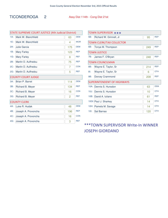#### TICONDEROGA 2 Assy Dist 114th - Cong Dist 21st

| STATE SUPREME COURT JUSTICE (4th Judicial District) |                           |     |            |
|-----------------------------------------------------|---------------------------|-----|------------|
| $1A$ :                                              | Mark W. Blanchfield       | 63  | <b>DEM</b> |
| 1E:                                                 | Mark W. Blanchfield       | 4   | <b>WOR</b> |
| $2A$ :                                              | Julie Garcia              | 175 | <b>DEM</b> |
| 1B:                                                 | <b>Mary Farley</b>        | 123 | <b>REP</b> |
| $1G$ :                                              | <b>Mary Farley</b>        | 8   | <b>REF</b> |
| 2B:                                                 | Martin D. Auffredou       | 75  | <b>REP</b> |
| $2C$ :                                              | Martin D. Auffredou       | 7   | <b>CON</b> |
| $2G$ :                                              | Martin D. Auffredou       | 5   | <b>REF</b> |
|                                                     | <b>COUNTY COURT JUDGE</b> |     |            |
| $3A$ :                                              | <b>Brian P. Barret</b>    | 114 | <b>DEM</b> |
| 3B:                                                 | Richard B. Meyer          | 134 | <b>REP</b> |
| $3C$ :                                              | Richard B. Meyer          | 16  | <b>CON</b> |
| $3G$ :                                              | Richard B. Meyer          | 2   | <b>REF</b> |
|                                                     | <b>COUNTY CLERK</b>       |     |            |
| 4A:                                                 | Luke R. Hudak             | 48  | <b>DEM</b> |
| 4B:                                                 | Joseph A. Provoncha       | 196 | <b>REP</b> |
| 4C:                                                 | Joseph A. Provoncha       | 16  | <b>CON</b> |
| 4G:                                                 | Joseph A. Provoncha       | 3   | <b>REF</b> |
|                                                     |                           |     |            |

| TOWN SUPERVISOR *** |                                   |     |            |
|---------------------|-----------------------------------|-----|------------|
| 5B:                 | Richard W. Grinnell, Jr           | 95  | <b>REP</b> |
|                     | <b>TOWN CLERK/TAX COLLECTOR</b>   |     |            |
| 6B:                 | Tonya M. Thompson                 | 249 | <b>REP</b> |
|                     | <b>TOWN JUSTICE</b>               |     |            |
| 7B:                 | James F. O'Bryan                  | 248 | <b>REP</b> |
|                     | <b>TOWN COUNCILMAN</b>            |     |            |
| 8B:                 | Wayne E. Taylor, Sr               | 214 | <b>REP</b> |
| $8$ :               | Wayne E. Taylor, Sr               | 6   | <b>OTH</b> |
| 9B:                 | Dorcey Crammond                   | 208 | <b>REP</b> |
|                     | <b>SUPERINTENDENT OF HIGHWAYS</b> |     |            |
| $10A$ :             | Dennis S. Hunsdon                 | 63  | <b>DEM</b> |
| 10J:                | Dennis S. Hunsdon                 | 10  | <b>OTH</b> |
| $10B$ :             | David A. Iuliano                  | 61  | <b>REP</b> |
|                     | 10GI: Paul J. Sharkey             | 14  | <b>OTH</b> |
|                     | 10H: Pamela M. Savage             | 14  | <b>OTH</b> |
| $10$ :              | Sal Barnao                        | 120 | <b>OTH</b> |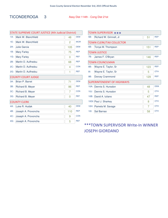#### TICONDEROGA 3 Assy Dist 114th - Cong Dist 21st

|                     | STATE SUPREME COURT JUSTICE (4th Judicial District) |            |  |  |
|---------------------|-----------------------------------------------------|------------|--|--|
| Mark W. Blanchfield | 48                                                  | <b>DEM</b> |  |  |
| Mark W. Blanchfield | $\overline{2}$                                      | <b>WOR</b> |  |  |
| Julie Garcia        | 105                                                 | <b>DEM</b> |  |  |
| <b>Mary Farley</b>  | 75                                                  | <b>REP</b> |  |  |
| <b>Mary Farley</b>  | $\overline{0}$                                      | <b>REF</b> |  |  |
| Martin D. Auffredou | 68                                                  | <b>REP</b> |  |  |
| Martin D. Auffredou | 4                                                   | <b>CON</b> |  |  |
| Martin D. Auffredou | 1                                                   | <b>REF</b> |  |  |
|                     |                                                     |            |  |  |
| Brian P. Barret     | 71                                                  | <b>DEM</b> |  |  |
| Richard B. Meyer    | 86                                                  | <b>REP</b> |  |  |
| Richard B. Meyer    | 7                                                   | <b>CON</b> |  |  |
| Richard B. Meyer    | 0                                                   | <b>REF</b> |  |  |
|                     |                                                     |            |  |  |
|                     | 40                                                  | <b>DEM</b> |  |  |
| Luke R. Hudak       |                                                     |            |  |  |
| Joseph A. Provoncha | 110                                                 | <b>REP</b> |  |  |
| Joseph A. Provoncha | 9                                                   | <b>CON</b> |  |  |
|                     | <b>COUNTY COURT JUDGE</b><br><b>COUNTY CLERK</b>    |            |  |  |

| TOWN SUPERVISOR *** |                                   |     |            |  |
|---------------------|-----------------------------------|-----|------------|--|
| 5B:                 | Richard W. Grinnell, Jr.          | 51  | <b>REP</b> |  |
|                     | <b>TOWN CLERK/TAX COLLECTOR</b>   |     |            |  |
| 6B:                 | Tonya M. Thompson                 | 151 | <b>REP</b> |  |
|                     | <b>TOWN JUSTICE</b>               |     |            |  |
| 7B:                 | James F. O'Bryan                  | 146 | <b>REP</b> |  |
|                     | <b>TOWN COUNCILMAN</b>            |     |            |  |
| 8B:                 | Wayne E. Taylor, Sr               | 123 | <b>REP</b> |  |
| $8$ :               | Wayne E. Taylor, Sr               | 5   | <b>OTH</b> |  |
| 9B:                 | Dorcey Crammond                   | 129 | <b>REP</b> |  |
|                     | <b>SUPERINTENDENT OF HIGHWAYS</b> |     |            |  |
| $10A$ :             | Dennis S. Hunsdon                 | 48  | <b>DEM</b> |  |
| 10J:                | Dennis S. Hunsdon                 | 5   | <b>OTH</b> |  |
| $10B$ :             | David A. Iuliano                  | 47  | <b>REP</b> |  |
|                     | 10GI: Paul J. Sharkey             | 8   | <b>OTH</b> |  |
|                     | 10H: Pamela M. Savage             | 7   | <b>OTH</b> |  |
| $10$ :              | Sal Barnao                        | 58  | <b>OTH</b> |  |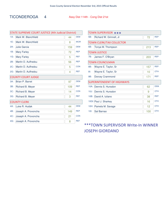#### TICONDEROGA 4 Assy Dist 114th - Cong Dist 21st

| <b>STATE SUPREME COURT JUSTICE (4th Judicial District)</b> |                     |     |            |
|------------------------------------------------------------|---------------------|-----|------------|
| $1A$ :                                                     | Mark W. Blanchfield | 44  | <b>DEM</b> |
| 1E:                                                        | Mark W. Blanchfield | 8   | <b>WOR</b> |
| $2A$ :                                                     | Julie Garcia        | 159 | <b>DEM</b> |
| 1B:                                                        | <b>Mary Farley</b>  | 72  | <b>REP</b> |
| $1G$ :                                                     | <b>Mary Farley</b>  | 5   | <b>REF</b> |
| 2B:                                                        | Martin D. Auffredou | 56  | <b>REP</b> |
| $2C$ :                                                     | Martin D. Auffredou | 5   | <b>CON</b> |
| $2G$ :                                                     | Martin D. Auffredou | 4   | <b>REF</b> |
| <b>COUNTY COURT JUDGE</b>                                  |                     |     |            |
| $3A$ :                                                     | Brian P. Barret     | 97  | <b>DEM</b> |
| 3B:                                                        | Richard B. Meyer    | 109 | <b>REP</b> |
| $3C$ :                                                     | Richard B. Meyer    | 14  | <b>CON</b> |
| $3G$ :                                                     | Richard B. Meyer    | 3   | <b>REF</b> |
|                                                            | <b>COUNTY CLERK</b> |     |            |
| 4A:                                                        | Luke R. Hudak       | 44  | <b>DEM</b> |
| 4B:                                                        | Joseph A. Provoncha | 149 | <b>REP</b> |
| $4C$ :                                                     | Joseph A. Provoncha | 21  | <b>CON</b> |
| 4G:                                                        | Joseph A. Provoncha | 8   | <b>REF</b> |

| TOWN SUPERVISOR *** |                                   |     |            |  |
|---------------------|-----------------------------------|-----|------------|--|
| 5B:                 | Richard W. Grinnell, Jr           | 72  | <b>REP</b> |  |
|                     | <b>TOWN CLERK/TAX COLLECTOR</b>   |     |            |  |
| 6B:                 | Tonya M. Thompson                 | 213 | <b>REP</b> |  |
|                     | <b>TOWN JUSTICE</b>               |     |            |  |
| 7B:                 | James F. O'Bryan                  | 203 | <b>REP</b> |  |
|                     | <b>TOWN COUNCILMAN</b>            |     |            |  |
| 8B:                 | Wayne E. Taylor, Sr               | 157 | <b>REP</b> |  |
| $8$ :               | Wayne E. Taylor, Sr               | 10  | <b>OTH</b> |  |
| 9B:                 | Dorcey Crammond                   | 171 | <b>REP</b> |  |
|                     | <b>SUPERINTENDENT OF HIGHWAYS</b> |     |            |  |
| $10A$ :             | Dennis S. Hunsdon                 | 62  | <b>DFM</b> |  |
| 10J:                | Dennis S. Hunsdon                 | 9   | <b>OTH</b> |  |
| $10B$ :             | David A. Iuliano                  | 38  | <b>REP</b> |  |
|                     | 10GI: Paul J. Sharkey             | 16  | <b>OTH</b> |  |
|                     | 10H: Pamela M. Savage             | 12  | <b>OTH</b> |  |
| 101:                | Sal Barnao                        | 100 | <b>OTH</b> |  |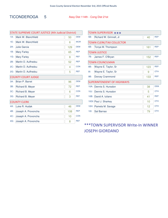#### TICONDEROGA 5 Assy Dist 114th - Cong Dist 21st

 $\Gamma$ 

| <b>STATE SUPREME COURT JUSTICE (4th Judicial District)</b> |                        |     |            |  |
|------------------------------------------------------------|------------------------|-----|------------|--|
| $1A$ :                                                     | Mark W. Blanchfield    | 50  | <b>DEM</b> |  |
| 1E:                                                        | Mark W. Blanchfield    | 6   | <b>WOR</b> |  |
| $2A$ :                                                     | Julie Garcia           | 129 | <b>DEM</b> |  |
| 1B:                                                        | <b>Mary Farley</b>     | 65  | <b>REP</b> |  |
| $1G$ :                                                     | <b>Mary Farley</b>     | 8   | <b>REF</b> |  |
| 2B:                                                        | Martin D. Auffredou    | 52  | <b>REP</b> |  |
| $2C$ :                                                     | Martin D. Auffredou    | 4   | <b>CON</b> |  |
| 2G:                                                        | Martin D. Auffredou    | 5   | <b>REF</b> |  |
| <b>COUNTY COURT JUDGE</b>                                  |                        |     |            |  |
| $3A$ :                                                     | <b>Brian P. Barret</b> | 96  | <b>DEM</b> |  |
| 3B:                                                        | Richard B. Meyer       | 72  | <b>REP</b> |  |
| $3C$ :                                                     | Richard B. Meyer       | 6   | <b>CON</b> |  |
| 3G <sub>i</sub>                                            | Richard B. Meyer       | 3   | <b>REF</b> |  |
|                                                            | <b>COUNTY CLERK</b>    |     |            |  |
| 4A:                                                        | Luke R. Hudak          | 46  | <b>DEM</b> |  |
| 4B:                                                        | Joseph A. Provoncha    | 108 | <b>REP</b> |  |
| 4C:                                                        | Joseph A. Provoncha    | 10  | <b>CON</b> |  |
| 4G:                                                        | Joseph A. Provoncha    | 8   | <b>REF</b> |  |

| TOWN SUPERVISOR *** |                                   |     |            |  |
|---------------------|-----------------------------------|-----|------------|--|
| 5B:                 | Richard W. Grinnell, Jr           | 40  | <b>REP</b> |  |
|                     | <b>TOWN CLERK/TAX COLLECTOR</b>   |     |            |  |
| 6B:                 | Tonya M. Thompson                 | 161 | <b>REP</b> |  |
|                     | <b>TOWN JUSTICE</b>               |     |            |  |
| 7B:                 | James F. O'Bryan                  | 152 | <b>REP</b> |  |
|                     | <b>TOWN COUNCILMAN</b>            |     |            |  |
| 8B:                 | Wayne E. Taylor, Sr               | 123 | <b>REP</b> |  |
| 81:                 | Wayne E. Taylor, Sr               | 9   | <b>OTH</b> |  |
| 9B:                 | Dorcey Crammond                   | 133 | <b>REP</b> |  |
|                     | <b>SUPERINTENDENT OF HIGHWAYS</b> |     |            |  |
| $10A$ :             | Dennis S. Hunsdon                 | 38  | <b>DEM</b> |  |
| 10J:                | Dennis S. Hunsdon                 | 5   | <b>OTH</b> |  |
| $10B$ :             | David A. Iuliano                  | 41  | <b>REP</b> |  |
|                     | 10GI: Paul J. Sharkey             | 10  | <b>OTH</b> |  |
|                     | 10H: Pamela M. Savage             | 12  | <b>OTH</b> |  |
| 101:                | Sal Barnao                        | 79  | <b>OTH</b> |  |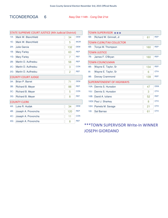#### TICONDEROGA 6 Assy Dist 114th - Cong Dist 21st

| STATE SUPREME COURT JUSTICE (4th Judicial District) |                           |                |            |  |
|-----------------------------------------------------|---------------------------|----------------|------------|--|
| $1A$ :                                              | Mark W. Blanchfield       | 34             | <b>DEM</b> |  |
| 1E:                                                 | Mark W. Blanchfield       | 5              | <b>WOR</b> |  |
| $2A$ :                                              | Julie Garcia              | 132            | <b>DEM</b> |  |
| 1B:                                                 | <b>Mary Farley</b>        | 63             | <b>REP</b> |  |
| $1G$ :                                              | <b>Mary Farley</b>        | 7              | <b>REF</b> |  |
| 2B:                                                 | Martin D. Auffredou       | 58             | <b>REP</b> |  |
| $2C$ :                                              | Martin D. Auffredou       | 3              | <b>CON</b> |  |
| $2G$ :                                              | Martin D. Auffredou       | $\overline{2}$ | <b>REF</b> |  |
|                                                     | <b>COUNTY COURT JUDGE</b> |                |            |  |
| $3A$ :                                              | Brian P. Barret           | 71             | <b>DEM</b> |  |
| 3B:                                                 | Richard B. Meyer          | 88             | <b>REP</b> |  |
| $3C$ :                                              | Richard B. Meyer          | 5              | <b>CON</b> |  |
| $3G$ :                                              | Richard B. Meyer          | 8              | <b>REF</b> |  |
|                                                     | <b>COUNTY CLERK</b>       |                |            |  |
| 4A:                                                 | Luke R. Hudak             | 34             | <b>DEM</b> |  |
| 4B:                                                 | Joseph A. Provoncha       | 120            | <b>REP</b> |  |
| 4C:                                                 | Joseph A. Provoncha       | 11             | <b>CON</b> |  |
| 4G:                                                 | Joseph A. Provoncha       | 8              | <b>REF</b> |  |
|                                                     |                           |                |            |  |

| TOWN SUPERVISOR *** |                                   |     |            |
|---------------------|-----------------------------------|-----|------------|
| 5B:                 | Richard W. Grinnell, Jr           | 61  | <b>REP</b> |
|                     | <b>TOWN CLERK/TAX COLLECTOR</b>   |     |            |
| 6B:                 | Tonya M. Thompson                 | 160 | <b>REP</b> |
|                     | <b>TOWN JUSTICE</b>               |     |            |
| 7B:                 | James F. O'Bryan                  | 160 | <b>REP</b> |
|                     | <b>TOWN COUNCILMAN</b>            |     |            |
| 8B:                 | Wayne E. Taylor, Sr               | 134 | <b>REP</b> |
| $8$ :               | Wayne E. Taylor, Sr               | 6   | <b>OTH</b> |
| 9B:                 | Dorcey Crammond                   | 139 | <b>REP</b> |
|                     | <b>SUPERINTENDENT OF HIGHWAYS</b> |     |            |
| $10A$ :             | Dennis S. Hunsdon                 | 47  | <b>DEM</b> |
| 10J:                | Dennis S. Hunsdon                 | 3   | <b>OTH</b> |
| $10B$ :             | David A. Iuliano                  | 52  | <b>REP</b> |
|                     | 10GI: Paul J. Sharkey             | 8   | <b>OTH</b> |
|                     | 10H: Pamela M. Savage             | 21  | <b>OTH</b> |
| $101$ :             | Sal Barnao                        | 61  | <b>OTH</b> |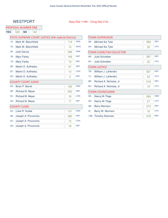#### WESTPORT Assy Dist 114th - Cong Dist 21st

#### PROPOSAL NUMBER ONE

STATE SUPREME COURT JUSTICE (4th Judicial District) **YES** 328 **NO** 142

| $1A$ : | Mark W. Blanchfield       | 119 | <b>DEM</b> |
|--------|---------------------------|-----|------------|
| 1E:    | Mark W. Blanchfield       | 15  | <b>WOR</b> |
| $2A$ : | <b>Julie Garcia</b>       | 398 | <b>DEM</b> |
| 1B:    | <b>Mary Farley</b>        | 169 | <b>REP</b> |
| $1G$ : | <b>Mary Farley</b>        | 19  | <b>REF</b> |
| 2B:    | Martin D. Auffredou       | 97  | <b>REP</b> |
| $2C$ : | Martin D. Auffredou       | 14  | <b>CON</b> |
| $2G$ : | Martin D. Auffredou       | 3   | <b>REF</b> |
|        | <b>COUNTY COURT JUDGE</b> |     |            |
| $3A$ : | <b>Brian P. Barret</b>    | 183 | <b>DEM</b> |
| 3B:    | Richard B. Meyer          | 262 | <b>REP</b> |
| $3C$ : | Richard B. Meyer          | 18  | <b>CON</b> |
| $3G$ : | Richard B. Meyer          | 17  | <b>REF</b> |
|        | <b>COUNTY CLERK</b>       |     |            |
| 4A:    | Luke R. Hudak             | 151 | <b>DEM</b> |
| 4B:    | Joseph A. Provoncha       | 290 | <b>REP</b> |
| 4C:    | Joseph A. Provoncha       | 15  | <b>CON</b> |
| 4G:    | Joseph A. Provoncha       | 18  | <b>REF</b> |
|        |                           |     |            |

|         | <b>TOWN SUPERVISOR</b>          |     |            |
|---------|---------------------------------|-----|------------|
| 5B:     | Michael Ike Tyler               | 369 | <b>REP</b> |
| 5H:     | Michael Ike Tyler               | 32  | <b>OTH</b> |
|         | <b>TOWN CLERK/TAX COLLECTOR</b> |     |            |
| 6B:     | Julie Schreiber                 | 397 | <b>REP</b> |
| 6H:     | Julie Schreiber                 | 32  | <b>OTH</b> |
|         | <b>TOWN JUSTICE</b>             |     |            |
| 7B:     | William J. LaHendro             | 367 | <b>REP</b> |
| 7J:     | William J. LaHendro             | 22  | <b>OTH</b> |
| 8B:     | Richard A. Nicholas, Jr         | 218 | <b>REP</b> |
| 8H:     | Richard A. Nicholas, Jr         | 15  | <b>OTH</b> |
|         | <b>TOWN COUNCILMAN</b>          |     |            |
| 9A:     | Nancy M. Page                   | 269 | <b>DEM</b> |
| 9G:     | Nancy M. Page                   | 27  | <b>OTH</b> |
| 9B:     | <b>Barry Morrison</b>           | 273 | <b>REP</b> |
| $9!$ :  | Barry W. Morrison               | 16  | <b>OTH</b> |
| $10B$ : | <b>Timothy Sherman</b>          | 278 | <b>REP</b> |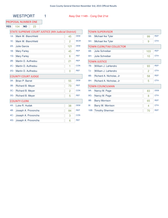#### PROPOSAL NUMBER ONE

**YES** 104 **NO** 23

#### STATE SUPREME COURT JUSTICE (4th Judicial District)

| $1A$ : | Mark W. Blanchfield       | 45  | <b>DEM</b> |
|--------|---------------------------|-----|------------|
| $1E$ : | Mark W. Blanchfield       | 2   | <b>WOR</b> |
| $2A$ : | Julie Garcia              | 121 | <b>DEM</b> |
| 1B:    | <b>Mary Farley</b>        | 45  | <b>REP</b> |
| $1G$ : | <b>Mary Farley</b>        | 6   | <b>REF</b> |
| 2B:    | Martin D. Auffredou       | 21  | <b>REP</b> |
| $2C$ : | Martin D. Auffredou       | 1   | <b>CON</b> |
| $2G$ : | Martin D. Auffredou       | 0   | <b>REF</b> |
|        | <b>COUNTY COURT JUDGE</b> |     |            |
| $3A$ : | Brian P. Barret           | 55  | <b>DEM</b> |
| 3B:    | Richard B. Meyer          | 73  | <b>REP</b> |
| $3C$ : | Richard B. Meyer          | 2   | <b>CON</b> |
| $3G$ : | Richard B. Meyer          | 5   | <b>REF</b> |
|        | <b>COUNTY CLERK</b>       |     |            |
| 4A:    | Luke R. Hudak             | 38  | <b>DEM</b> |
| 4B:    | Joseph A. Provoncha       | 84  | <b>REP</b> |
| 4C:    | Joseph A. Provoncha       | 3   | <b>CON</b> |
| 4G:    | Joseph A. Provoncha       | 6   | <b>REF</b> |

| <b>TOWN SUPERVISOR</b> |                                 |     |            |
|------------------------|---------------------------------|-----|------------|
| 5B:                    | Michael Ike Tyler               | 99  | <b>REP</b> |
| 5H:                    | Michael Ike Tyler               | 9   | <b>OTH</b> |
|                        | <b>TOWN CLERK/TAX COLLECTOR</b> |     |            |
| 6B:                    | Julie Schreiber                 | 103 | <b>REP</b> |
| 6H:                    | Julie Schreiber                 | 10  | <b>OTH</b> |
|                        | <b>TOWN JUSTICE</b>             |     |            |
| 7B:                    | William J. LaHendro             | 93  | <b>REP</b> |
| 7J:                    | William J. LaHendro             | 2   | <b>OTH</b> |
| 8B:                    | Richard A. Nicholas, Jr         | 58  | <b>REP</b> |
| 8H:                    | Richard A. Nicholas, Jr         | 5   | <b>OTH</b> |
|                        | <b>TOWN COUNCILMAN</b>          |     |            |
| 9A:                    | Nancy M. Page                   | 83  | <b>DEM</b> |
| 9G:                    | Nancy M. Page                   | 8   | <b>OTH</b> |
| 9B:                    | <b>Barry Morrison</b>           | 65  | <b>REP</b> |
| $9$ :                  | Barry W. Morrison               | 4   | <b>OTH</b> |
| $10B$ :                | <b>Timothy Sherman</b>          | 70  | <b>REP</b> |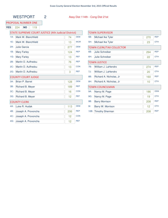#### WESTPORT 2 Assy Dist 114th - Cong Dist 21st

#### PROPOSAL NUMBER ONE

**YES** 224 **NO** 119

#### STATE SUPREME COURT JUSTICE (4th Judicial District)

| $1A$ : | Mark W. Blanchfield       | 74  | <b>DEM</b> |
|--------|---------------------------|-----|------------|
| 1E:    | Mark W. Blanchfield       | 13  | <b>WOR</b> |
| $2A$ : | Julie Garcia              | 277 | <b>DEM</b> |
| 1B:    | <b>Mary Farley</b>        | 124 | <b>REP</b> |
| $1G$ : | <b>Mary Farley</b>        | 13  | <b>REF</b> |
| 2B:    | Martin D. Auffredou       | 76  | <b>REP</b> |
| $2C$ : | Martin D. Auffredou       | 13  | <b>CON</b> |
| $2G$ : | Martin D. Auffredou       | 3   | <b>REF</b> |
|        | <b>COUNTY COURT JUDGE</b> |     |            |
| $3A$ : | Brian P. Barret           | 128 | <b>DEM</b> |
| 3B:    | Richard B. Meyer          | 189 | <b>REP</b> |
| $3C$ : | Richard B. Meyer          | 16  | <b>CON</b> |
| $3G$ : | Richard B. Meyer          | 12  | <b>REF</b> |
|        | <b>COUNTY CLERK</b>       |     |            |
| 4A:    | Luke R. Hudak             | 113 | <b>DEM</b> |
| 4B:    | Joseph A. Provoncha       | 206 | <b>REP</b> |
| 4C:    | Joseph A. Provoncha       | 12  | <b>CON</b> |
| 4G:    | Joseph A. Provoncha       | 12  | <b>REF</b> |

| <b>TOWN SUPERVISOR</b> |                                 |     |            |
|------------------------|---------------------------------|-----|------------|
| 5B:                    | Michael Ike Tyler               | 270 | <b>REP</b> |
| 5H:                    | Michael Ike Tyler               | 23  | <b>OTH</b> |
|                        | <b>TOWN CLERK/TAX COLLECTOR</b> |     |            |
| 6B:                    | <b>Julie Schreiber</b>          | 294 | <b>REP</b> |
| 6H:                    | Julie Schreiber                 | 22  | <b>OTH</b> |
|                        | <b>TOWN JUSTICE</b>             |     |            |
| 7B:                    | William J. LaHendro             | 274 | <b>REP</b> |
| 7J:                    | William J. LaHendro             | 20  | <b>OTH</b> |
| 8B:                    | Richard A. Nicholas, Jr         | 160 | <b>REP</b> |
| 8H:                    | Richard A. Nicholas, Jr         | 10  | <b>OTH</b> |
|                        | <b>TOWN COUNCILMAN</b>          |     |            |
| 9A:                    | Nancy M. Page                   | 186 | <b>DEM</b> |
| 9G:                    | Nancy M. Page                   | 19  | <b>OTH</b> |
| 9B:                    | <b>Barry Morrison</b>           | 208 | <b>REP</b> |
| $9$ :                  | Barry W. Morrison               | 12  | <b>OTH</b> |
| $10B$ :                | <b>Timothy Sherman</b>          | 208 | <b>REP</b> |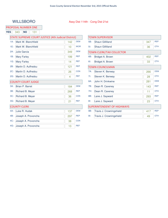### WILLSBORO Assy Dist 114th - Cong Dist 21st

#### PROPOSAL NUMBER ONE

**YES** 343 **NO** 131

|        | <b>STATE SUPREME COURT JUSTICE (4th Judicial District)</b> |     |            |  |
|--------|------------------------------------------------------------|-----|------------|--|
| $1A$ : | Mark W. Blanchfield                                        | 142 | <b>DEM</b> |  |
| 1E:    | Mark W. Blanchfield                                        | 10  | <b>WOR</b> |  |
| $2A$ : | <b>Julie Garcia</b>                                        | 349 | <b>DEM</b> |  |
| 1B:    | <b>Mary Farley</b>                                         | 199 | <b>REP</b> |  |
| $1G$ : | <b>Mary Farley</b>                                         | 14  | <b>REF</b> |  |
| 2B:    | Martin D. Auffredou                                        | 121 | <b>REP</b> |  |
| $2C$ : | Martin D. Auffredou                                        | 26  | <b>CON</b> |  |
| $2G$ : | Martin D. Auffredou                                        | 4   | <b>REF</b> |  |
|        | <b>COUNTY COURT JUDGE</b>                                  |     |            |  |
| $3A$ : | Brian P. Barret                                            | 184 | <b>DEM</b> |  |
| 3B:    | Richard B. Meyer                                           | 268 | <b>REP</b> |  |
| $3C$ : | Richard B. Meyer                                           | 36  | <b>CON</b> |  |
| $3G$ : | Richard B. Meyer                                           | 21  | <b>REF</b> |  |
|        | <b>COUNTY CLERK</b>                                        |     |            |  |
| 4A:    | Luke R. Hudak                                              | 137 | <b>DEM</b> |  |
| 4B:    | Joseph A. Provoncha                                        | 297 | <b>REP</b> |  |
| $4C$ : | Joseph A. Provoncha                                        | 38  | <b>CON</b> |  |
| 4G:    | Joseph A. Provoncha                                        | 13  | <b>REF</b> |  |

| <b>TOWN SUPERVISOR</b> |                                   |     |            |  |
|------------------------|-----------------------------------|-----|------------|--|
| 5B:                    | Shaun Gillilland                  | 347 | <b>REP</b> |  |
| 5!                     | <b>Shaun Gillilland</b>           | 36  | <b>OTH</b> |  |
|                        | <b>TOWN CLERK/TAX COLLECTOR</b>   |     |            |  |
| 6B:                    | Bridget A. Brown                  | 402 | <b>REP</b> |  |
| 6!                     | Bridget A. Brown                  | 33  | <b>OTH</b> |  |
|                        | <b>TOWN COUNCILMAN</b>            |     |            |  |
| 7A:                    | Steven K. Benway                  | 266 | <b>DEM</b> |  |
| 7!                     | Steven K. Benway                  | 28  | <b>OTH</b> |  |
| 8A:                    | John H. Drinkwine                 | 281 | <b>DEM</b> |  |
| 7B:                    | Dean R. Caveney                   | 143 | <b>REP</b> |  |
| 7H:                    | Dean R. Caveney                   | 11  | <b>OTH</b> |  |
| 8B:                    | Lane J. Sayward                   | 293 | <b>REP</b> |  |
| 8!                     | Lane J. Sayward                   | 23  | <b>OTH</b> |  |
|                        | <b>SUPERINTENDENT OF HIGHWAYS</b> |     |            |  |
| 9B:                    | Travis J. Crowningshield          | 417 | <b>REP</b> |  |
| $9$ :                  | Travis J. Crowningshield          | 49  | <b>OTH</b> |  |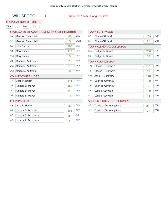### WILLSBORO 1 Assy Dist 114th - Cong Dist 21st

#### PROPOSAL NUMBER ONE

**YES** 201 **NO** 71

#### STATE SUPREME COURT JUSTICE (4th Judicial District)

| $1A$ :          | Mark W. Blanchfield       | 86  | <b>DEM</b> |
|-----------------|---------------------------|-----|------------|
| 1E:             | Mark W. Blanchfield       | 5   | <b>WOR</b> |
| $2A$ :          | <b>Julie Garcia</b>       | 205 | <b>DEM</b> |
| 1B:             | <b>Mary Farley</b>        | 119 | <b>REP</b> |
| $1G$ :          | <b>Mary Farley</b>        | 9   | <b>REF</b> |
| 2B:             | Martin D. Auffredou       | 75  | <b>REP</b> |
| $2C$ :          | Martin D. Auffredou       | 16  | <b>CON</b> |
| $2G$ :          | Martin D. Auffredou       | 3   | <b>REF</b> |
|                 | <b>COUNTY COURT JUDGE</b> |     |            |
| $3A$ :          | <b>Brian P. Barret</b>    | 111 | <b>DEM</b> |
| 3B:             | Richard B. Meyer          | 152 | <b>REP</b> |
| $3C$ :          | Richard B. Meyer          | 22  | <b>CON</b> |
| 3G <sub>2</sub> | Richard B. Meyer          | 11  | <b>REF</b> |
|                 | <b>COUNTY CLERK</b>       |     |            |
| 4A:             | Luke R. Hudak             | 89  | <b>DEM</b> |
| 4B:             | Joseph A. Provoncha       | 166 | <b>REP</b> |
| 4C:             | Joseph A. Provoncha       | 24  | <b>CON</b> |
| 4G:             | Joseph A. Provoncha       | 8   | <b>REF</b> |
|                 |                           |     |            |

| <b>TOWN SUPERVISOR</b> |                                   |     |            |  |  |
|------------------------|-----------------------------------|-----|------------|--|--|
| 5B:                    | Shaun Gillilland                  | 209 | <b>REP</b> |  |  |
| $51$ :                 | <b>Shaun Gillilland</b>           | 21  | <b>OTH</b> |  |  |
|                        | <b>TOWN CLERK/TAX COLLECTOR</b>   |     |            |  |  |
| 6B:                    | Bridget A. Brown                  | 236 | <b>REP</b> |  |  |
| 6!                     | Bridget A. Brown                  | 19  | <b>OTH</b> |  |  |
|                        | <b>TOWN COUNCILMAN</b>            |     |            |  |  |
| $7A$ :                 | Steven K. Benway                  | 151 | <b>DEM</b> |  |  |
| 7!                     | Steven K. Benway                  | 19  | <b>OTH</b> |  |  |
| 8A:                    | John H. Drinkwine                 | 146 | <b>DEM</b> |  |  |
| 7B:                    | Dean R. Caveney                   | 100 | <b>REP</b> |  |  |
| 7H:                    | Dean R. Caveney                   | 8   | <b>OTH</b> |  |  |
| 8B:                    | Lane J. Sayward                   | 169 | <b>REP</b> |  |  |
| $8$ :                  | Lane J. Sayward                   | 14  | <b>OTH</b> |  |  |
|                        | <b>SUPERINTENDENT OF HIGHWAYS</b> |     |            |  |  |
| 9B:                    | Travis J. Crowningshield          | 241 | <b>REP</b> |  |  |
| $9!$ :                 | Travis J. Crowningshield          | 31  | <b>OTH</b> |  |  |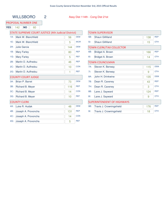#### PROPOSAL NUMBER ONE

**YES** 142 **NO** 60

| STATE SUPREME COURT JUSTICE (4th Judicial District) |  |
|-----------------------------------------------------|--|
|-----------------------------------------------------|--|

| $1A$ : | Mark W. Blanchfield       | 56  | <b>DEM</b> |
|--------|---------------------------|-----|------------|
| 1E:    | Mark W. Blanchfield       | 5   | <b>WOR</b> |
| $2A$ : | Julie Garcia              | 144 | <b>DEM</b> |
| 1B:    | <b>Mary Farley</b>        | 80  | <b>REP</b> |
| 1G:    | <b>Mary Farley</b>        | 5   | <b>REF</b> |
| 2B:    | Martin D. Auffredou       | 46  | <b>REP</b> |
| $2C$ : | Martin D. Auffredou       | 10  | <b>CON</b> |
| $2G$ : | Martin D. Auffredou       | 1   | <b>REF</b> |
|        | <b>COUNTY COURT JUDGE</b> |     |            |
| $3A$ : | Brian P. Barret           | 73  | <b>DEM</b> |
| 3B:    | Richard B. Meyer          | 116 | <b>REP</b> |
| $3C$ : | Richard B. Meyer          | 14  | <b>CON</b> |
| $3G$ : | Richard B. Meyer          | 10  | <b>REF</b> |
|        | <b>COUNTY CLERK</b>       |     |            |
| 4A:    | Luke R. Hudak             | 48  | <b>DEM</b> |
| 4B:    | Joseph A. Provoncha       | 131 | <b>REP</b> |
| 4C:    | Joseph A. Provoncha       | 14  | <b>CON</b> |
| 4G:    | Joseph A. Provoncha       | 5   | <b>REF</b> |

| TOWN SUPERVISOR                   |                          |     |            |  |
|-----------------------------------|--------------------------|-----|------------|--|
| 5B:                               | Shaun Gillilland         | 138 | <b>REP</b> |  |
| $5$ :                             | Shaun Gillilland         | 15  | <b>OTH</b> |  |
|                                   | TOWN CLERK/TAX COLLECTOR |     |            |  |
| 6B:                               | Bridget A. Brown         | 166 | <b>REP</b> |  |
| 6!                                | Bridget A. Brown         | 14  | <b>OTH</b> |  |
|                                   | <b>TOWN COUNCILMAN</b>   |     |            |  |
| 7A:                               | Steven K. Benway         | 115 | <b>DEM</b> |  |
| 7!                                | Steven K. Benway         | 9   | <b>OTH</b> |  |
| 8A:                               | John H. Drinkwine        | 135 | <b>DEM</b> |  |
| 7B:                               | Dean R. Caveney          | 43  | <b>REP</b> |  |
| 7H:                               | Dean R. Caveney          | 3   | <b>OTH</b> |  |
| 8B:                               | Lane J. Sayward          | 124 | <b>REP</b> |  |
| $8$ :                             | Lane J. Sayward          | 9   | <b>OTH</b> |  |
| <b>SUPERINTENDENT OF HIGHWAYS</b> |                          |     |            |  |
| 9B:                               | Travis J. Crowningshield | 176 | <b>REP</b> |  |
| $9!$ :                            | Travis J. Crowningshield | 18  | <b>OTH</b> |  |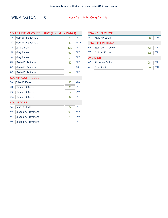### WILMINGTON 0 Assy Dist 114th - Cong Dist 21st

| STATE SUPREME COURT JUSTICE (4th Judicial District) |                        |     |            |  |
|-----------------------------------------------------|------------------------|-----|------------|--|
| $1A$ :                                              | Mark W. Blanchfield    | 72  | <b>DEM</b> |  |
| 1E:                                                 | Mark W. Blanchfield    | 6   | <b>WOR</b> |  |
| $2A$ :                                              | <b>Julie Garcia</b>    | 132 | <b>DEM</b> |  |
| 1B:                                                 | <b>Mary Farley</b>     | 69  | <b>REP</b> |  |
| 1G:                                                 | <b>Mary Farley</b>     | 3   | <b>REF</b> |  |
| 2B:                                                 | Martin D. Auffredou    | 55  | <b>REP</b> |  |
| $2C$ :                                              | Martin D. Auffredou    | 11  | <b>CON</b> |  |
| $2G$ :                                              | Martin D. Auffredou    | 0   | <b>REF</b> |  |
| <b>COUNTY COURT JUDGE</b>                           |                        |     |            |  |
| $3A$ :                                              | <b>Brian P. Barret</b> | 83  | <b>DEM</b> |  |
| 3B:                                                 | Richard B. Meyer       | 90  | <b>REP</b> |  |
| $3C$ :                                              | Richard B. Meyer       | 14  | <b>CON</b> |  |
| $3G$ :                                              | Richard B. Meyer       | 8   | <b>REF</b> |  |
|                                                     | <b>COUNTY CLERK</b>    |     |            |  |
| 4A:                                                 | Luke R. Hudak          | 67  | <b>DEM</b> |  |
| 4B:                                                 | Joseph A. Provoncha    | 95  | <b>REP</b> |  |
| $4C$ :                                              | Joseph A. Provoncha    | 20  | <b>CON</b> |  |
| 4G:                                                 | Joseph A. Provoncha    | 7   | <b>REF</b> |  |

| <b>TOWN SUPERVISOR</b> |                        |     |            |  |
|------------------------|------------------------|-----|------------|--|
| $51$ :                 | <b>Randy Preston</b>   | 138 | <b>OTH</b> |  |
|                        | <b>TOWN COUNCILMAN</b> |     |            |  |
| 6B:                    | Stephen J. Corvelli    | 153 | <b>REP</b> |  |
| 7B:                    | Darin A. Forbes        | 132 | <b>REP</b> |  |
| <b>ASSESSOR</b>        |                        |     |            |  |
| 8B:                    | <b>Alphonso Smith</b>  | 158 | <b>REP</b> |  |
| $81$ :                 | Dana Peck              | 149 | OTH        |  |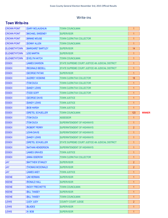#### Write-ins

#### Town Write-Ins

| <b>CROWN POINT</b>   | <b>GARY MCLAUGHLIN</b>  | <b>TOWN COUNCILMAN</b>                            | 1              |               |
|----------------------|-------------------------|---------------------------------------------------|----------------|---------------|
| <b>CROWN POINT</b>   | <b>MICHAEL SWEENEY</b>  | <b>SUPERVISOR</b>                                 | $\mathbf{1}$   |               |
| <b>CROWN POINT</b>   | <b>MINNIE MOUSE</b>     | <b>TOWN CLERK/TAX COLLECTOR</b>                   | $\mathbf{1}$   |               |
| <b>CROWN POINT</b>   | <b>SONNY ALLEN</b>      | <b>TOWN COUNCILMAN</b>                            | $\mathbf{1}$   |               |
| <b>ELIZABETHTOWN</b> | <b>MARGARET BARTLEY</b> | <b>SUPERVISOR</b>                                 | 14             |               |
| <b>ELIZABETHTOWN</b> | <b>JOE MARTIN</b>       | <b>SUPERVISOR</b>                                 | $\mathbf{1}$   |               |
| <b>ELIZABETHTOWN</b> | <b>EVELYN HATCH</b>     | <b>TOWN COUNCILMAN</b>                            | $\mathbf{1}$   |               |
| <b>ESSEX</b>         | <b>JAMES DAWSON</b>     | STATE SUPREME COURT JUSTICE 4th JUDICIAL DISTRICT | $\mathbf{1}$   |               |
| <b>ESSEX</b>         | <b>REGINALD BEDELL</b>  | STATE SUPREME COURT JUSTICE 4th JUDICIAL DISTRICT | $\mathbf{1}$   |               |
| <b>ESSEX</b>         | <b>GEORGE PATAKI</b>    | <b>SUPERVISOR</b>                                 | $\mathbf{1}$   |               |
| <b>ESSEX</b>         | <b>AUDREY HOSKINS</b>   | <b>TOWN CLERK/TAX COLLECTOR</b>                   | 18             |               |
| <b>ESSEX</b>         | <b>TOM DUCA</b>         | <b>TOWN CLERK/TAX COLLECTOR</b>                   | $\mathbf{1}$   |               |
| <b>ESSEX</b>         | <b>SANDY LEWIS</b>      | <b>TOWN CLERK/TAX COLLECTOR</b>                   | $\mathbf{1}$   |               |
| <b>ESSEX</b>         | <b>TODD GOFF</b>        | <b>TOWN CLERK/TAX COLLECTOR</b>                   | $\mathbf{1}$   |               |
| <b>ESSEX</b>         | <b>GEORGE DAVIS</b>     | <b>TOWN JUSTICE</b>                               | $\mathbf{1}$   |               |
| <b>ESSEX</b>         | <b>SANDY LEWIS</b>      | <b>TOWN JUSTICE</b>                               | $\mathbf{1}$   |               |
| <b>ESSEX</b>         | <b>BOB HARSH</b>        | <b>TOWN JUSTICE</b>                               | $\mathbf{1}$   |               |
| <b>ESSEX</b>         | <b>GRETEL SCHUELLER</b> | <b>TOWN COUNCILMAN</b>                            | 123            | <b>WINNER</b> |
| <b>ESSEX</b>         | <b>TOM DUCA</b>         | <b>ASSESSOR</b>                                   | $\mathbf{1}$   |               |
| <b>ESSEX</b>         | <b>TOM DUCA</b>         | <b>SUPERINTENDENT OF HIGHWAYS</b>                 | $\mathbf{1}$   |               |
| <b>ESSEX</b>         | <b>ROBERT PERRY</b>     | SUPERINTENDENT OF HIGHWAYS                        | $\overline{2}$ |               |
| <b>ESSEX</b>         | <b>JOHN DAVIS</b>       | <b>SUPERINTENDENT OF HIGHWAYS</b>                 | $\mathbf{1}$   |               |
| <b>ESSEX</b>         | <b>SANDY LEWIS</b>      | SUPERINTENDENT OF HIGHWAYS                        | $\mathbf{1}$   |               |
| <b>ESSEX</b>         | <b>GRETEL SCHUELLER</b> | STATE SUPREME COURT JUSTICE 4th JUDICIAL DISTRICT | $\mathbf{1}$   |               |
| <b>ESSEX</b>         | <b>NATHAN HENDERSON</b> | SUPERINTENDENT OF HIGHWAYS                        | $\mathbf{1}$   |               |
| <b>ESSEX</b>         | <b>JAMES GRAVES</b>     | <b>TOWN JUSTICE</b>                               | $\mathbf{1}$   |               |
| <b>ESSEX</b>         | <b>ANNA ISSEROW</b>     | TOWN CLERK/TAX COLLECTOR                          | $\mathbf{1}$   |               |
| <b>JAY</b>           | <b>MATTHEW STANLEY</b>  | <b>SUPERVISOR</b>                                 | $\overline{2}$ |               |
| <b>JAY</b>           | <b>THOMAS MCDONALD</b>  | <b>SUPERVISOR</b>                                 | $\overline{2}$ |               |
| <b>JAY</b>           | <b>JAMES AKEY</b>       | <b>TOWN JUSTICE</b>                               | $\mathbf{1}$   |               |
| <b>KEENE</b>         | <b>JIM HERMAN</b>       | <b>SUPERVISOR</b>                                 | 1              |               |
| <b>KEENE</b>         | <b>RONALD HALL</b>      | <b>SUPERVISOR</b>                                 | 1              |               |
| <b>KEENE</b>         | <b>NICKY FRECHETTE</b>  | <b>TOWN COUNCILMAN</b>                            | 1              |               |
| <b>KEENE</b>         | <b>BILL TANSEY</b>      | <b>SUPERVISOR</b>                                 | 1              |               |
| <b>KEENE</b>         | <b>BILL TANSEY</b>      | <b>TOWN COUNCILMAN</b>                            | 1              |               |
| <b>LEWIS</b>         | JUDY JUDY               | <b>COUNTY COURT JUDGE</b>                         | $\overline{2}$ |               |
| <b>LEWIS</b>         | <b>BLADES</b>           | <b>SUPERVISOR</b>                                 | $\mathbf{1}$   |               |
| <b>LEWIS</b>         | H. BOB                  | <b>SUPERVISOR</b>                                 | $\overline{1}$ |               |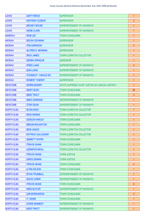| <b>LEWIS</b>      | <b>JEFF PIERCE</b>           | <b>SUPERVISOR</b>                                 | 1              |
|-------------------|------------------------------|---------------------------------------------------|----------------|
| <b>LEWIS</b>      | <b>ANTHONY GLEBUS</b>        | <b>ISUPERVISOR</b>                                | $\overline{2}$ |
| <b>LEWIS</b>      | <b>MICKEY MOUSE</b>          | <b>SUPERINTENDENT OF HIGHWAYS</b>                 | 1              |
| <b>LEWIS</b>      | <b>HERB CLARK</b>            | <b>SUPERINTENDENT OF HIGHWAYS</b>                 | 1              |
| <b>MINERVA</b>    | <b>ROB LEE</b>               | <b>TOWN COUNCILMAN</b>                            | 1              |
| <b>MORIAH</b>     | <b>KEVIN COCHRAN</b>         | <b>ISUPERVISOR</b>                                | $\mathbf{1}$   |
| <b>MORIAH</b>     | <b>TIM GARRISON</b>          | <b>SUPERVISOR</b>                                 | $\overline{2}$ |
| <b>MORIAH</b>     | <b>ALFRED E. NEWMAN</b>      | <b>ISUPERVISOR</b>                                | $\overline{1}$ |
| <b>MORIAH</b>     | <b>RICK JAMES</b>            | <b>TOWN CLERK/TAX COLLECTOR</b>                   | 1              |
| <b>MORIAH</b>     | <b>DEREK SPRAGUE</b>         | <b>ASSESSOR</b>                                   | $\overline{1}$ |
| <b>MORIAH</b>     | <b>FRED LAING</b>            | SUPERINTENDENT OF HIGHWAYS                        | $\overline{2}$ |
| <b>MORIAH</b>     | <b>DAN LAING</b>             | SUPERINTENDENT OF HIGHWAYS                        | $\overline{1}$ |
| <b>MORIAH</b>     | <b>THOMAS P. YAKALIS SR.</b> | <b>SUPERINTENDENT OF HIGHWAYS</b>                 | 1              |
| <b>MORIAH</b>     | <b>ROBERT THIERRY</b>        | <b>ISUPERVISOR</b>                                | $\overline{1}$ |
| <b>NEWCOMB</b>    | <b>NORM MASSRY</b>           | STATE SUPREME COURT JUSTICE 4th JUDICIAL DISTRICT | $\overline{1}$ |
| <b>NEWCOMB</b>    | <b>MARY BUSH</b>             | <b>TOWN COUNCILMAN</b>                            | 89             |
| <b>NEWCOMB</b>    | <b>MIKE TRACY</b>            | <b>TOWN COUNCILMAN</b>                            | 3              |
| <b>NEWCOMB</b>    | <b>MIKE GARRAND</b>          | <b>SUPERINTENDENT OF HIGHWAYS</b>                 | $\overline{1}$ |
| <b>NEWCOMB</b>    | <b>TONY BUSH</b>             | <b>SUPERINTENDENT OF HIGHWAYS</b>                 | 1              |
| <b>NORTH ELBA</b> | <b>EVAN KNOX</b>             | <b>TOWN CLERK/TAX COLLECTOR</b>                   | $\overline{1}$ |
| <b>NORTH ELBA</b> | <b>NICK MORAN</b>            | <b>TOWN CLERK/TAX COLLECTOR</b>                   | 1              |
| <b>NORTH ELBA</b> | <b>GIDEON HAWLEY</b>         | <b>TOWN COUNCILMAN</b>                            | $\overline{1}$ |
| <b>NORTH ELBA</b> | <b>MEGAN BOUGHTON</b>        | <b>TOWN COUNCILMAN</b>                            | 1              |
| <b>NORTH ELBA</b> | <b>BOB JAQUIS</b>            | <b>TOWN CLERK/TAX COLLECTOR</b>                   | 1              |
| <b>NORTH ELBA</b> | <b>PATRICK GALLAGHER</b>     | <b>TOWN CLERK/TAX COLLECTOR</b>                   | 1              |
| <b>NORTH ELBA</b> | <b>EMMETT HOOPS</b>          | <b>TOWN COUNCILMAN</b>                            | 1              |
| <b>NORTH ELBA</b> | <b>TRAVIS ISHAM</b>          | <b>TOWN COUNCILMAN</b>                            | 1              |
| <b>NORTH ELBA</b> | <b>JENNIFER MIHILL</b>       | <b>TOWN CLERK/TAX COLLECTOR</b>                   | 1              |
| <b>NORTH ELBA</b> | <b>TRAVIS ISHAM</b>          | <b>TOWN JUSTICE</b>                               | 1              |
| <b>NORTH ELBA</b> | <b>GREG DENNIN</b>           | <b>TOWN JUSTICE</b>                               | 1              |
| <b>NORTH ELBA</b> | <b>TRAVIS ISHAM</b>          | <b>TOWN COUNCILMAN</b>                            | 4              |
| <b>NORTH ELBA</b> | <b>LYNN WILSON</b>           | <b>TOWN COUNCILMAN</b>                            | 1              |
| <b>NORTH ELBA</b> | <b>RYAN TRUMBALL</b>         | <b>SUPERINTENDENT OF HIGHWAYS</b>                 | 1              |
| <b>NORTH ELBA</b> | <b>DAVID JONER</b>           | <b>SUPERINTENDENT OF HIGHWAYS</b>                 | 1              |
| <b>NORTH ELBA</b> | <b>TRAVIS ISHAM</b>          | <b>TOWN COUNCILMAN</b>                            | $6^{\circ}$    |
| <b>NORTH ELBA</b> | <b>MIKE BUTLER</b>           | <b>SUPERINTENDENT OF HIGHWAYS</b>                 | 1              |
| <b>NORTH ELBA</b> | <b>JIM MORGANSON</b>         | <b>TOWN COUNCILMAN</b>                            | $\overline{2}$ |
| <b>NORTH ELBA</b> | <b>T. ISHAM</b>              | <b>TOWN COUNCILMAN</b>                            | 1              |
| <b>NORTH ELBA</b> | <b>CHRIS KENNEDY</b>         | <b>SUPERINTENDENT OF HIGHWAYS</b>                 | 1              |
| <b>NORTH ELBA</b> | <b>KENT PRATT</b>            | <b>SUPERINTENDENT OF HIGHWAYS</b>                 | $\mathbf{1}$   |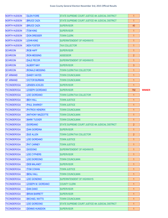| <b>NORTH HUDSON</b> | <b>GLEN FIORE</b>         | STATE SUPREME COURT JUSTICE 4th JUDICIAL DISTRICT        | $\mathbf{1}$   |               |
|---------------------|---------------------------|----------------------------------------------------------|----------------|---------------|
| <b>NORTH HUDSON</b> | <b>BRUCE CAZA</b>         | STATE SUPREME COURT JUSTICE 4th JUDICIAL DISTRICT        | $\mathbf{1}$   |               |
| <b>NORTH HUDSON</b> | <b>BRUCE CAZA</b>         | <b>SUPERVISOR</b>                                        | 40             |               |
| <b>NORTH HUDSON</b> | <b>TOM KING</b>           | <b>SUPERVISOR</b>                                        | $\mathbf{1}$   |               |
| <b>NORTH HUDSON</b> | <b>DON DRESSER</b>        | <b>TOWN CLERK</b>                                        | $\overline{1}$ |               |
| <b>NORTH HUDSON</b> | <b>JOHN KING</b>          | <b>SUPERINTENDENT OF HIGHWAYS</b>                        | 1              |               |
| <b>NORTH HUDSON</b> | <b>KEN FOSTER</b>         | <b>TAX COLLECTOR</b>                                     | $\overline{1}$ |               |
| <b>SCHROON</b>      | <b>ROB HAFF</b>           | <b>SUPERVISOR</b>                                        | 1              |               |
| <b>SCHROON</b>      | <b>RON MESSING</b>        | <b>ASSESSOR</b>                                          | $\overline{2}$ |               |
| <b>SCHROON</b>      | <b>DALE PECOR</b>         | <b>SUPERINTENDENT OF HIGHWAYS</b>                        | $\mathbf{1}$   |               |
| <b>SCHROON</b>      | <b>ALBERT MAY</b>         | <b>SUPERVISOR</b>                                        | 3              |               |
| <b>SCHROON</b>      | <b>RONALD MESSING</b>     | <b>TOWN CLERK/TAX COLLECTOR</b>                          | 1              |               |
| <b>ST ARMAND</b>    | <b>SANDY HAYES</b>        | <b>TOWN COUNCILMAN</b>                                   | $\mathbf{1}$   |               |
| <b>ST ARMAND</b>    | <b>VICTOR BURMAN</b>      | <b>TOWN COUNCILMAN</b>                                   | 1              |               |
| <b>TICONDEROGA</b>  | <b>JENSEN ACKLES</b>      | <b>SUPERVISOR</b>                                        | $\mathbf{1}$   |               |
| <b>TICONDEROGA</b>  | <b>JOSEPH GIORDANO</b>    | <b>SUPERVISOR</b>                                        | 792            | <b>WINNER</b> |
| <b>TICONDEROGA</b>  | <b>JOE GIORDANO</b>       | <b>TOWN CLERK/TAX COLLECTOR</b>                          | $\overline{1}$ |               |
| <b>TICONDEROGA</b>  | <b>BEH HALL</b>           | <b>TOWN JUSTICE</b>                                      | $\mathbf{1}$   |               |
| <b>TICONDEROGA</b>  | <b>PAUL SHARKEY</b>       | <b>TOWN JUSTICE</b>                                      | $\mathbf{1}$   |               |
| <b>TICONDEROGA</b>  | <b>PATRICK HENDRIX</b>    | <b>TOWN COUNCILMAN</b>                                   | 1              |               |
| <b>TICONDEROGA</b>  | <b>ANTHONY MAZZOTTE</b>   | <b>TOWN COUNCILMAN</b>                                   | $\mathbf{1}$   |               |
| <b>TICONDEROGA</b>  | <b>MARK TUCKER</b>        | <b>TOWN COUNCILMAN</b>                                   | $\mathbf{1}$   |               |
| <b>TICONDEROGA</b>  | <b>GIORDANO</b>           | <b>STATE SUPREME COURT JUSTICE 4th JUDICIAL DISTRICT</b> | $\overline{2}$ |               |
| <b>TICONDEROGA</b>  | <b>DAN GIORDINA</b>       | <b>SUPERVISOR</b>                                        | 1              |               |
| <b>TICONDEROGA</b>  | <b>SUE ALLEN</b>          | <b>TOWN CLERK/TAX COLLECTOR</b>                          | $\overline{2}$ |               |
| <b>TICONDEROGA</b>  | <b>JOE GIORDANO</b>       | <b>TOWN JUSTICE</b>                                      | $\mathbf{1}$   |               |
| <b>TICONDEROGA</b>  | <b>PAT CARNEY</b>         | <b>TOWN JUSTICE</b>                                      | 1              |               |
| <b>TICONDEROGA</b>  | <b>GIODONO</b>            | <b>SUPERINTENDENT OF HIGHWAYS</b>                        | $\mathbf{1}$   |               |
| <b>TICONDEROGA</b>  | <b>JOE CYPHERS</b>        | <b>SUPERVISOR</b>                                        | 1              |               |
| <b>TICONDEROGA</b>  | <b>JOE DIORDONO</b>       | <b>TOWN COUNCILMAN</b>                                   | $\mathbf{1}$   |               |
| <b>TICONDEROGA</b>  | <b>DEB MALANEY</b>        | <b>SUPERVISOR</b>                                        | 1              |               |
| <b>TICONDEROGA</b>  | <b>TOM COWAN</b>          | <b>TOWN JUSTICE</b>                                      | 1              |               |
| <b>TICONDEROGA</b>  | <b>BENJ HALL</b>          | <b>TOWN COUNCILMAN</b>                                   | 1              |               |
| <b>TICONDEROGA</b>  | <b>JOE GIONDINO</b>       | <b>SUPERINTENDENT OF HIGHWAYS</b>                        | $\mathbf{1}$   |               |
| <b>TICONDEROGA</b>  | <b>JOSEPH M. GIORDANO</b> | <b>COUNTY CLERK</b>                                      | 1              |               |
| <b>TICONDEROGA</b>  | <b>DAN DANO</b>           | <b>SUPERVISOR</b>                                        | 1              |               |
| <b>TICONDEROGA</b>  | <b>BRIAN BARRETT</b>      | <b>SUPERVISOR</b>                                        | 1              |               |
| <b>TICONDEROGA</b>  | <b>MICHAEL WATTS</b>      | <b>TOWN COUNCILMAN</b>                                   | 1              |               |
| <b>TICONDEROGA</b>  | <b>JOE GIORDONO</b>       | <b>STATE SUPREME COURT JUSTICE 4th JUDICIAL DISTRICT</b> | 1              |               |
| <b>TICONDEROGA</b>  | <b>DENNIS HUNSDON</b>     | <b>SUPERVISOR</b>                                        | 1              |               |